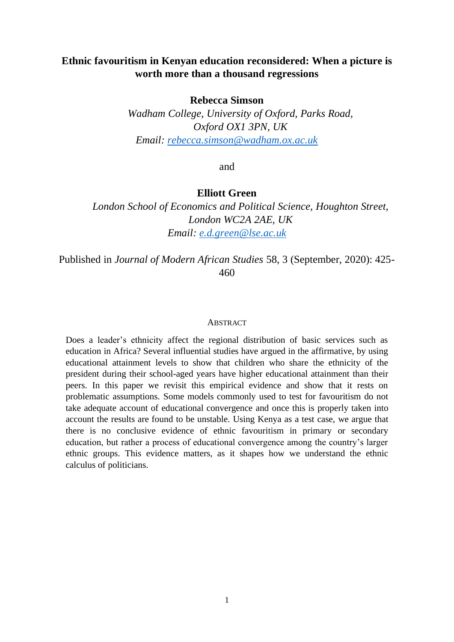# **Ethnic favouritism in Kenyan education reconsidered: When a picture is worth more than a thousand regressions**

## **Rebecca Simson**

*Wadham College, University of Oxford, Parks Road, Oxford OX1 3PN, UK Email: [rebecca.simson@wadham.ox.ac.uk](mailto:rebecca.simson@wadham.ox.ac.uk)*

and

## **Elliott Green**

*London School of Economics and Political Science, Houghton Street, London WC2A 2AE, UK Email: [e.d.green@lse.ac.uk](mailto:e.d.green@lse.ac.uk)*

Published in *Journal of Modern African Studies* 58, 3 (September, 2020): 425- 460

## **ABSTRACT**

Does a leader's ethnicity affect the regional distribution of basic services such as education in Africa? Several influential studies have argued in the affirmative, by using educational attainment levels to show that children who share the ethnicity of the president during their school-aged years have higher educational attainment than their peers. In this paper we revisit this empirical evidence and show that it rests on problematic assumptions. Some models commonly used to test for favouritism do not take adequate account of educational convergence and once this is properly taken into account the results are found to be unstable. Using Kenya as a test case, we argue that there is no conclusive evidence of ethnic favouritism in primary or secondary education, but rather a process of educational convergence among the country's larger ethnic groups. This evidence matters, as it shapes how we understand the ethnic calculus of politicians.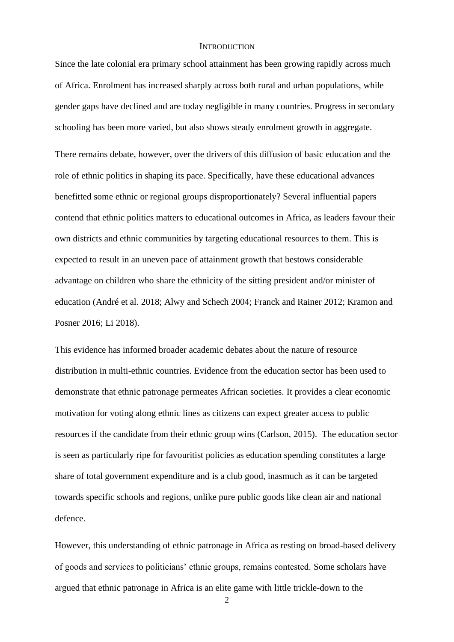#### **INTRODUCTION**

Since the late colonial era primary school attainment has been growing rapidly across much of Africa. Enrolment has increased sharply across both rural and urban populations, while gender gaps have declined and are today negligible in many countries. Progress in secondary schooling has been more varied, but also shows steady enrolment growth in aggregate.

There remains debate, however, over the drivers of this diffusion of basic education and the role of ethnic politics in shaping its pace. Specifically, have these educational advances benefitted some ethnic or regional groups disproportionately? Several influential papers contend that ethnic politics matters to educational outcomes in Africa, as leaders favour their own districts and ethnic communities by targeting educational resources to them. This is expected to result in an uneven pace of attainment growth that bestows considerable advantage on children who share the ethnicity of the sitting president and/or minister of education (André et al. 2018; Alwy and Schech 2004; Franck and Rainer 2012; Kramon and Posner 2016; Li 2018).

This evidence has informed broader academic debates about the nature of resource distribution in multi-ethnic countries. Evidence from the education sector has been used to demonstrate that ethnic patronage permeates African societies. It provides a clear economic motivation for voting along ethnic lines as citizens can expect greater access to public resources if the candidate from their ethnic group wins (Carlson, 2015). The education sector is seen as particularly ripe for favouritist policies as education spending constitutes a large share of total government expenditure and is a club good, inasmuch as it can be targeted towards specific schools and regions, unlike pure public goods like clean air and national defence.

However, this understanding of ethnic patronage in Africa as resting on broad-based delivery of goods and services to politicians' ethnic groups, remains contested. Some scholars have argued that ethnic patronage in Africa is an elite game with little trickle-down to the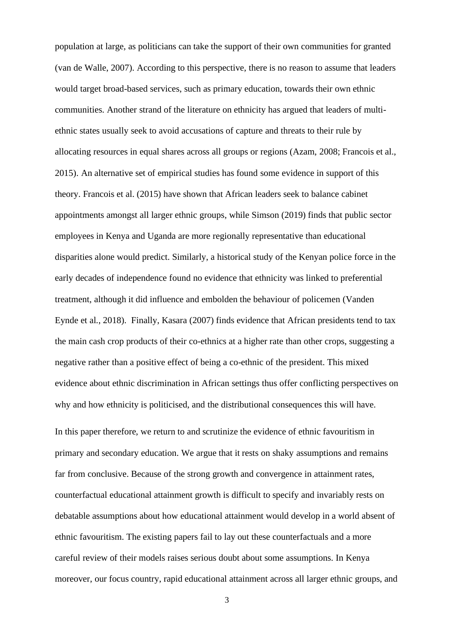population at large, as politicians can take the support of their own communities for granted (van de Walle, 2007). According to this perspective, there is no reason to assume that leaders would target broad-based services, such as primary education, towards their own ethnic communities. Another strand of the literature on ethnicity has argued that leaders of multiethnic states usually seek to avoid accusations of capture and threats to their rule by allocating resources in equal shares across all groups or regions (Azam, 2008; Francois et al., 2015). An alternative set of empirical studies has found some evidence in support of this theory. Francois et al. (2015) have shown that African leaders seek to balance cabinet appointments amongst all larger ethnic groups, while Simson (2019) finds that public sector employees in Kenya and Uganda are more regionally representative than educational disparities alone would predict. Similarly, a historical study of the Kenyan police force in the early decades of independence found no evidence that ethnicity was linked to preferential treatment, although it did influence and embolden the behaviour of policemen (Vanden Eynde et al., 2018). Finally, Kasara (2007) finds evidence that African presidents tend to tax the main cash crop products of their co-ethnics at a higher rate than other crops, suggesting a negative rather than a positive effect of being a co-ethnic of the president. This mixed evidence about ethnic discrimination in African settings thus offer conflicting perspectives on why and how ethnicity is politicised, and the distributional consequences this will have.

In this paper therefore, we return to and scrutinize the evidence of ethnic favouritism in primary and secondary education. We argue that it rests on shaky assumptions and remains far from conclusive. Because of the strong growth and convergence in attainment rates, counterfactual educational attainment growth is difficult to specify and invariably rests on debatable assumptions about how educational attainment would develop in a world absent of ethnic favouritism. The existing papers fail to lay out these counterfactuals and a more careful review of their models raises serious doubt about some assumptions. In Kenya moreover, our focus country, rapid educational attainment across all larger ethnic groups, and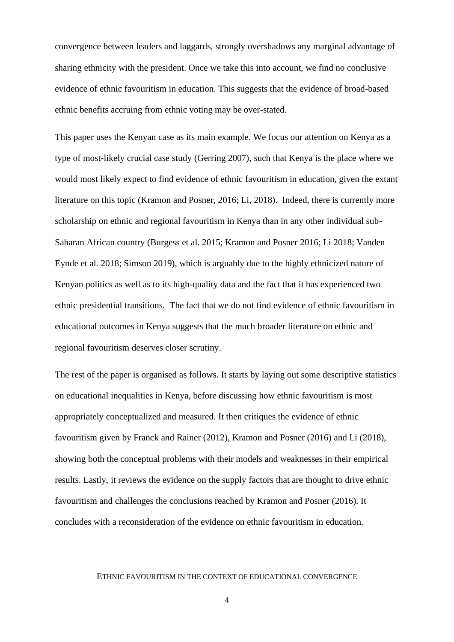convergence between leaders and laggards, strongly overshadows any marginal advantage of sharing ethnicity with the president. Once we take this into account, we find no conclusive evidence of ethnic favouritism in education. This suggests that the evidence of broad-based ethnic benefits accruing from ethnic voting may be over-stated.

This paper uses the Kenyan case as its main example. We focus our attention on Kenya as a type of most-likely crucial case study (Gerring 2007), such that Kenya is the place where we would most likely expect to find evidence of ethnic favouritism in education, given the extant literature on this topic (Kramon and Posner, 2016; Li, 2018). Indeed, there is currently more scholarship on ethnic and regional favouritism in Kenya than in any other individual sub-Saharan African country (Burgess et al. 2015; Kramon and Posner 2016; Li 2018; Vanden Eynde et al. 2018; Simson 2019), which is arguably due to the highly ethnicized nature of Kenyan politics as well as to its high-quality data and the fact that it has experienced two ethnic presidential transitions. The fact that we do not find evidence of ethnic favouritism in educational outcomes in Kenya suggests that the much broader literature on ethnic and regional favouritism deserves closer scrutiny.

The rest of the paper is organised as follows. It starts by laying out some descriptive statistics on educational inequalities in Kenya, before discussing how ethnic favouritism is most appropriately conceptualized and measured. It then critiques the evidence of ethnic favouritism given by Franck and Rainer (2012), Kramon and Posner (2016) and Li (2018), showing both the conceptual problems with their models and weaknesses in their empirical results. Lastly, it reviews the evidence on the supply factors that are thought to drive ethnic favouritism and challenges the conclusions reached by Kramon and Posner (2016). It concludes with a reconsideration of the evidence on ethnic favouritism in education.

## ETHNIC FAVOURITISM IN THE CONTEXT OF EDUCATIONAL CONVERGENCE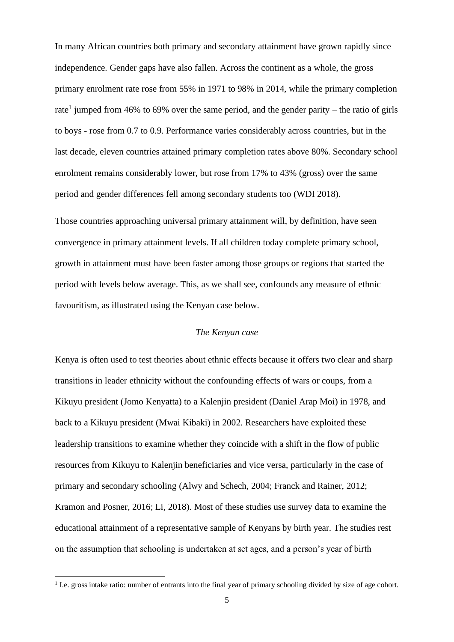In many African countries both primary and secondary attainment have grown rapidly since independence. Gender gaps have also fallen. Across the continent as a whole, the gross primary enrolment rate rose from 55% in 1971 to 98% in 2014, while the primary completion rate<sup>1</sup> jumped from 46% to 69% over the same period, and the gender parity – the ratio of girls to boys - rose from 0.7 to 0.9. Performance varies considerably across countries, but in the last decade, eleven countries attained primary completion rates above 80%. Secondary school enrolment remains considerably lower, but rose from 17% to 43% (gross) over the same period and gender differences fell among secondary students too (WDI 2018).

Those countries approaching universal primary attainment will, by definition, have seen convergence in primary attainment levels. If all children today complete primary school, growth in attainment must have been faster among those groups or regions that started the period with levels below average. This, as we shall see, confounds any measure of ethnic favouritism, as illustrated using the Kenyan case below.

## *The Kenyan case*

Kenya is often used to test theories about ethnic effects because it offers two clear and sharp transitions in leader ethnicity without the confounding effects of wars or coups, from a Kikuyu president (Jomo Kenyatta) to a Kalenjin president (Daniel Arap Moi) in 1978, and back to a Kikuyu president (Mwai Kibaki) in 2002. Researchers have exploited these leadership transitions to examine whether they coincide with a shift in the flow of public resources from Kikuyu to Kalenjin beneficiaries and vice versa, particularly in the case of primary and secondary schooling (Alwy and Schech, 2004; Franck and Rainer, 2012; Kramon and Posner, 2016; Li, 2018). Most of these studies use survey data to examine the educational attainment of a representative sample of Kenyans by birth year. The studies rest on the assumption that schooling is undertaken at set ages, and a person's year of birth

<sup>&</sup>lt;sup>1</sup> I.e. gross intake ratio: number of entrants into the final year of primary schooling divided by size of age cohort.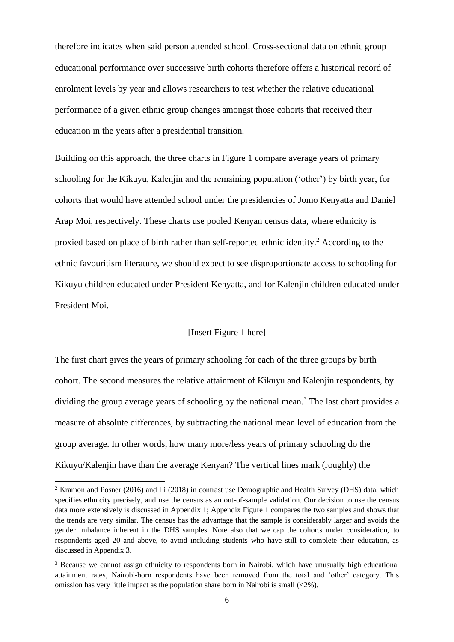therefore indicates when said person attended school. Cross-sectional data on ethnic group educational performance over successive birth cohorts therefore offers a historical record of enrolment levels by year and allows researchers to test whether the relative educational performance of a given ethnic group changes amongst those cohorts that received their education in the years after a presidential transition.

Building on this approach, the three charts in Figure 1 compare average years of primary schooling for the Kikuyu, Kalenjin and the remaining population ('other') by birth year, for cohorts that would have attended school under the presidencies of Jomo Kenyatta and Daniel Arap Moi, respectively. These charts use pooled Kenyan census data, where ethnicity is proxied based on place of birth rather than self-reported ethnic identity.<sup>2</sup> According to the ethnic favouritism literature, we should expect to see disproportionate access to schooling for Kikuyu children educated under President Kenyatta, and for Kalenjin children educated under President Moi.

## [Insert Figure 1 here]

The first chart gives the years of primary schooling for each of the three groups by birth cohort. The second measures the relative attainment of Kikuyu and Kalenjin respondents, by dividing the group average years of schooling by the national mean.<sup>3</sup> The last chart provides a measure of absolute differences, by subtracting the national mean level of education from the group average. In other words, how many more/less years of primary schooling do the Kikuyu/Kalenjin have than the average Kenyan? The vertical lines mark (roughly) the

<sup>2</sup> Kramon and Posner (2016) and Li (2018) in contrast use Demographic and Health Survey (DHS) data, which specifies ethnicity precisely, and use the census as an out-of-sample validation. Our decision to use the census data more extensively is discussed in Appendix 1; Appendix Figure 1 compares the two samples and shows that the trends are very similar. The census has the advantage that the sample is considerably larger and avoids the gender imbalance inherent in the DHS samples. Note also that we cap the cohorts under consideration, to respondents aged 20 and above, to avoid including students who have still to complete their education, as discussed in Appendix 3.

<sup>&</sup>lt;sup>3</sup> Because we cannot assign ethnicity to respondents born in Nairobi, which have unusually high educational attainment rates, Nairobi-born respondents have been removed from the total and 'other' category. This omission has very little impact as the population share born in Nairobi is small (<2%).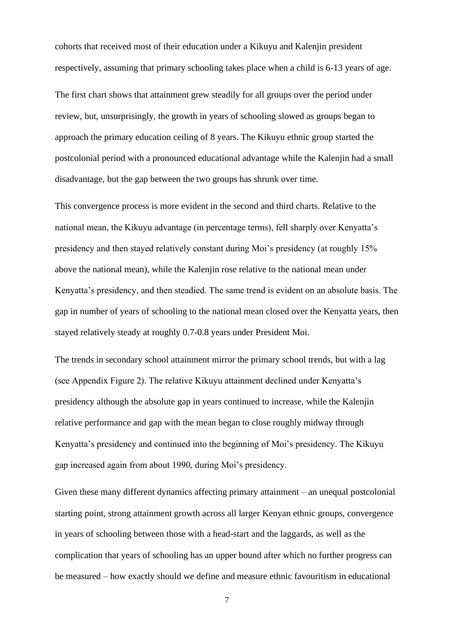cohorts that received most of their education under a Kikuyu and Kalenjin president respectively, assuming that primary schooling takes place when a child is 6-13 years of age.

The first chart shows that attainment grew steadily for all groups over the period under review, but, unsurprisingly, the growth in years of schooling slowed as groups began to approach the primary education ceiling of 8 years. The Kikuyu ethnic group started the postcolonial period with a pronounced educational advantage while the Kalenjin had a small disadvantage, but the gap between the two groups has shrunk over time.

This convergence process is more evident in the second and third charts. Relative to the national mean, the Kikuyu advantage (in percentage terms), fell sharply over Kenyatta's presidency and then stayed relatively constant during Moi's presidency (at roughly 15% above the national mean), while the Kalenjin rose relative to the national mean under Kenyatta's presidency, and then steadied. The same trend is evident on an absolute basis. The gap in number of years of schooling to the national mean closed over the Kenyatta years, then stayed relatively steady at roughly 0.7-0.8 years under President Moi.

The trends in secondary school attainment mirror the primary school trends, but with a lag (see Appendix Figure 2). The relative Kikuyu attainment declined under Kenyatta's presidency although the absolute gap in years continued to increase, while the Kalenjin relative performance and gap with the mean began to close roughly midway through Kenyatta's presidency and continued into the beginning of Moi's presidency. The Kikuyu gap increased again from about 1990, during Moi's presidency.

Given these many different dynamics affecting primary attainment – an unequal postcolonial starting point, strong attainment growth across all larger Kenyan ethnic groups, convergence in years of schooling between those with a head-start and the laggards, as well as the complication that years of schooling has an upper bound after which no further progress can be measured – how exactly should we define and measure ethnic favouritism in educational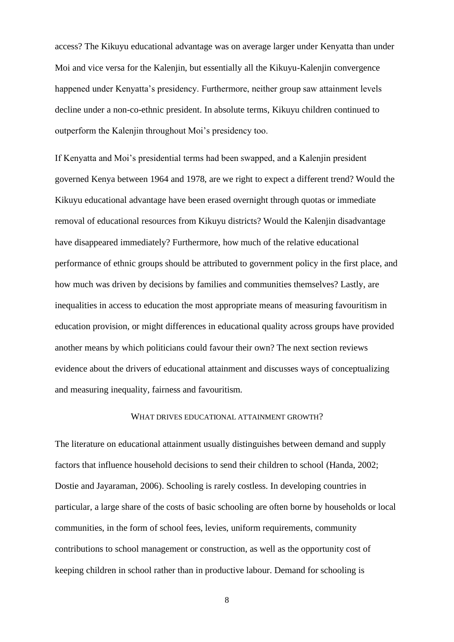access? The Kikuyu educational advantage was on average larger under Kenyatta than under Moi and vice versa for the Kalenjin, but essentially all the Kikuyu-Kalenjin convergence happened under Kenyatta's presidency. Furthermore, neither group saw attainment levels decline under a non-co-ethnic president. In absolute terms, Kikuyu children continued to outperform the Kalenjin throughout Moi's presidency too.

If Kenyatta and Moi's presidential terms had been swapped, and a Kalenjin president governed Kenya between 1964 and 1978, are we right to expect a different trend? Would the Kikuyu educational advantage have been erased overnight through quotas or immediate removal of educational resources from Kikuyu districts? Would the Kalenjin disadvantage have disappeared immediately? Furthermore, how much of the relative educational performance of ethnic groups should be attributed to government policy in the first place, and how much was driven by decisions by families and communities themselves? Lastly, are inequalities in access to education the most appropriate means of measuring favouritism in education provision, or might differences in educational quality across groups have provided another means by which politicians could favour their own? The next section reviews evidence about the drivers of educational attainment and discusses ways of conceptualizing and measuring inequality, fairness and favouritism.

#### WHAT DRIVES EDUCATIONAL ATTAINMENT GROWTH?

The literature on educational attainment usually distinguishes between demand and supply factors that influence household decisions to send their children to school (Handa, 2002; Dostie and Jayaraman, 2006). Schooling is rarely costless. In developing countries in particular, a large share of the costs of basic schooling are often borne by households or local communities, in the form of school fees, levies, uniform requirements, community contributions to school management or construction, as well as the opportunity cost of keeping children in school rather than in productive labour. Demand for schooling is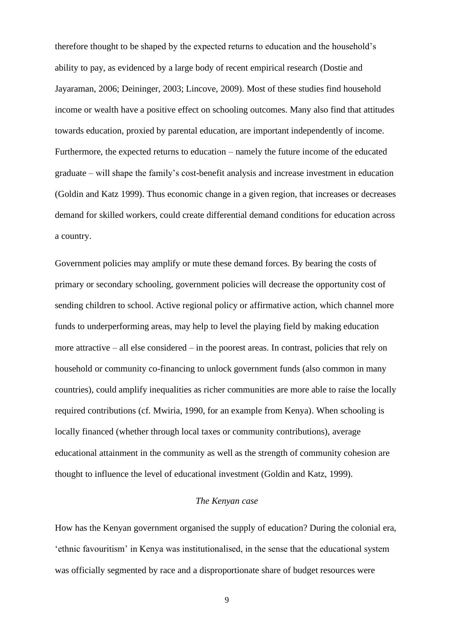therefore thought to be shaped by the expected returns to education and the household's ability to pay, as evidenced by a large body of recent empirical research (Dostie and Jayaraman, 2006; Deininger, 2003; Lincove, 2009). Most of these studies find household income or wealth have a positive effect on schooling outcomes. Many also find that attitudes towards education, proxied by parental education, are important independently of income. Furthermore, the expected returns to education – namely the future income of the educated graduate – will shape the family's cost-benefit analysis and increase investment in education (Goldin and Katz 1999). Thus economic change in a given region, that increases or decreases demand for skilled workers, could create differential demand conditions for education across a country.

Government policies may amplify or mute these demand forces. By bearing the costs of primary or secondary schooling, government policies will decrease the opportunity cost of sending children to school. Active regional policy or affirmative action, which channel more funds to underperforming areas, may help to level the playing field by making education more attractive – all else considered – in the poorest areas. In contrast, policies that rely on household or community co-financing to unlock government funds (also common in many countries), could amplify inequalities as richer communities are more able to raise the locally required contributions (cf. Mwiria, 1990, for an example from Kenya). When schooling is locally financed (whether through local taxes or community contributions), average educational attainment in the community as well as the strength of community cohesion are thought to influence the level of educational investment (Goldin and Katz, 1999).

#### *The Kenyan case*

How has the Kenyan government organised the supply of education? During the colonial era, 'ethnic favouritism' in Kenya was institutionalised, in the sense that the educational system was officially segmented by race and a disproportionate share of budget resources were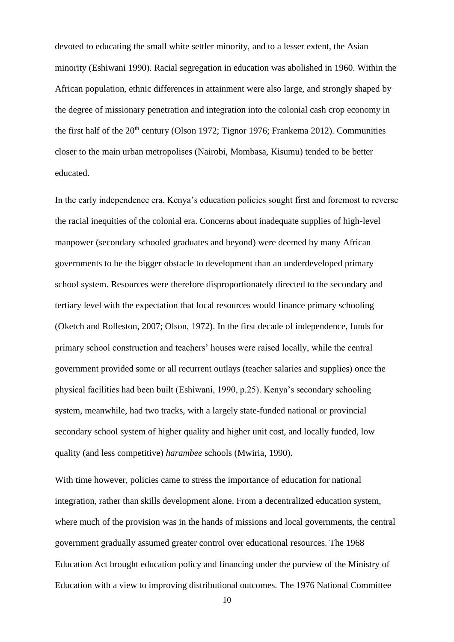devoted to educating the small white settler minority, and to a lesser extent, the Asian minority (Eshiwani 1990). Racial segregation in education was abolished in 1960. Within the African population, ethnic differences in attainment were also large, and strongly shaped by the degree of missionary penetration and integration into the colonial cash crop economy in the first half of the  $20<sup>th</sup>$  century (Olson 1972; Tignor 1976; Frankema 2012). Communities closer to the main urban metropolises (Nairobi, Mombasa, Kisumu) tended to be better educated.

In the early independence era, Kenya's education policies sought first and foremost to reverse the racial inequities of the colonial era. Concerns about inadequate supplies of high-level manpower (secondary schooled graduates and beyond) were deemed by many African governments to be the bigger obstacle to development than an underdeveloped primary school system. Resources were therefore disproportionately directed to the secondary and tertiary level with the expectation that local resources would finance primary schooling (Oketch and Rolleston, 2007; Olson, 1972). In the first decade of independence, funds for primary school construction and teachers' houses were raised locally, while the central government provided some or all recurrent outlays (teacher salaries and supplies) once the physical facilities had been built (Eshiwani, 1990, p.25). Kenya's secondary schooling system, meanwhile, had two tracks, with a largely state-funded national or provincial secondary school system of higher quality and higher unit cost, and locally funded, low quality (and less competitive) *harambee* schools (Mwiria, 1990).

With time however, policies came to stress the importance of education for national integration, rather than skills development alone. From a decentralized education system, where much of the provision was in the hands of missions and local governments, the central government gradually assumed greater control over educational resources. The 1968 Education Act brought education policy and financing under the purview of the Ministry of Education with a view to improving distributional outcomes. The 1976 National Committee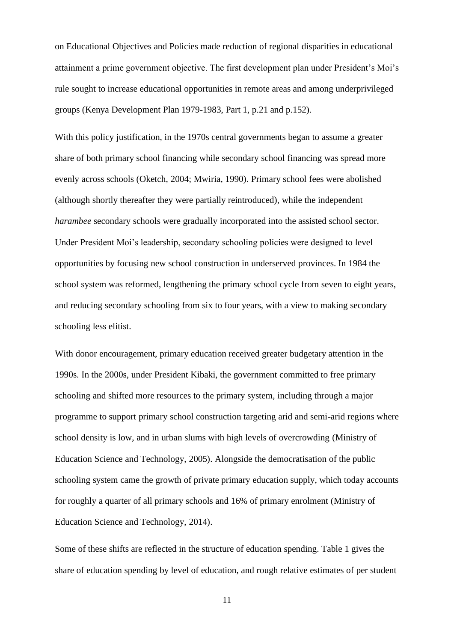on Educational Objectives and Policies made reduction of regional disparities in educational attainment a prime government objective. The first development plan under President's Moi's rule sought to increase educational opportunities in remote areas and among underprivileged groups (Kenya Development Plan 1979-1983, Part 1, p.21 and p.152).

With this policy justification, in the 1970s central governments began to assume a greater share of both primary school financing while secondary school financing was spread more evenly across schools (Oketch, 2004; Mwiria, 1990). Primary school fees were abolished (although shortly thereafter they were partially reintroduced), while the independent *harambee* secondary schools were gradually incorporated into the assisted school sector. Under President Moi's leadership, secondary schooling policies were designed to level opportunities by focusing new school construction in underserved provinces. In 1984 the school system was reformed, lengthening the primary school cycle from seven to eight years, and reducing secondary schooling from six to four years, with a view to making secondary schooling less elitist.

With donor encouragement, primary education received greater budgetary attention in the 1990s. In the 2000s, under President Kibaki, the government committed to free primary schooling and shifted more resources to the primary system, including through a major programme to support primary school construction targeting arid and semi-arid regions where school density is low, and in urban slums with high levels of overcrowding (Ministry of Education Science and Technology, 2005). Alongside the democratisation of the public schooling system came the growth of private primary education supply, which today accounts for roughly a quarter of all primary schools and 16% of primary enrolment (Ministry of Education Science and Technology, 2014).

Some of these shifts are reflected in the structure of education spending. Table 1 gives the share of education spending by level of education, and rough relative estimates of per student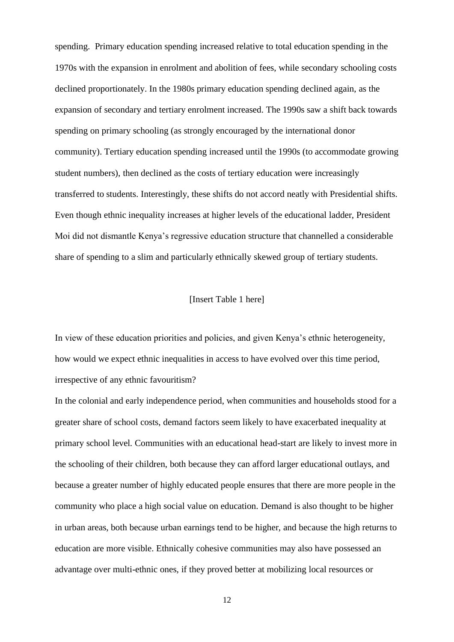spending. Primary education spending increased relative to total education spending in the 1970s with the expansion in enrolment and abolition of fees, while secondary schooling costs declined proportionately. In the 1980s primary education spending declined again, as the expansion of secondary and tertiary enrolment increased. The 1990s saw a shift back towards spending on primary schooling (as strongly encouraged by the international donor community). Tertiary education spending increased until the 1990s (to accommodate growing student numbers), then declined as the costs of tertiary education were increasingly transferred to students. Interestingly, these shifts do not accord neatly with Presidential shifts. Even though ethnic inequality increases at higher levels of the educational ladder, President Moi did not dismantle Kenya's regressive education structure that channelled a considerable share of spending to a slim and particularly ethnically skewed group of tertiary students.

## [Insert Table 1 here]

In view of these education priorities and policies, and given Kenya's ethnic heterogeneity, how would we expect ethnic inequalities in access to have evolved over this time period, irrespective of any ethnic favouritism?

In the colonial and early independence period, when communities and households stood for a greater share of school costs, demand factors seem likely to have exacerbated inequality at primary school level. Communities with an educational head-start are likely to invest more in the schooling of their children, both because they can afford larger educational outlays, and because a greater number of highly educated people ensures that there are more people in the community who place a high social value on education. Demand is also thought to be higher in urban areas, both because urban earnings tend to be higher, and because the high returns to education are more visible. Ethnically cohesive communities may also have possessed an advantage over multi-ethnic ones, if they proved better at mobilizing local resources or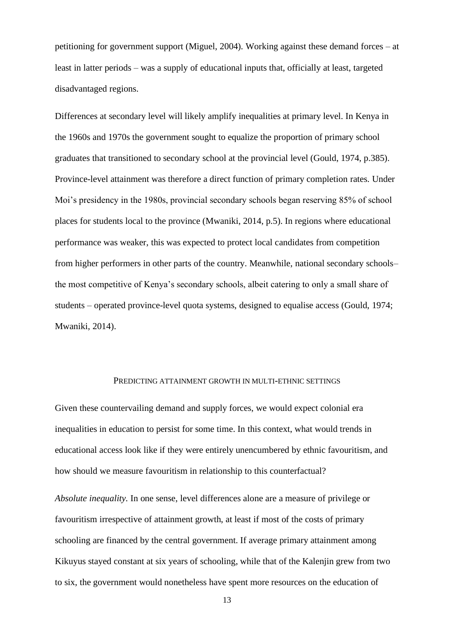petitioning for government support (Miguel, 2004). Working against these demand forces – at least in latter periods – was a supply of educational inputs that, officially at least, targeted disadvantaged regions.

Differences at secondary level will likely amplify inequalities at primary level. In Kenya in the 1960s and 1970s the government sought to equalize the proportion of primary school graduates that transitioned to secondary school at the provincial level (Gould, 1974, p.385). Province-level attainment was therefore a direct function of primary completion rates. Under Moi's presidency in the 1980s, provincial secondary schools began reserving 85% of school places for students local to the province (Mwaniki, 2014, p.5). In regions where educational performance was weaker, this was expected to protect local candidates from competition from higher performers in other parts of the country. Meanwhile, national secondary schools– the most competitive of Kenya's secondary schools, albeit catering to only a small share of students – operated province-level quota systems, designed to equalise access (Gould, 1974; Mwaniki, 2014).

#### PREDICTING ATTAINMENT GROWTH IN MULTI-ETHNIC SETTINGS

Given these countervailing demand and supply forces, we would expect colonial era inequalities in education to persist for some time. In this context, what would trends in educational access look like if they were entirely unencumbered by ethnic favouritism, and how should we measure favouritism in relationship to this counterfactual?

*Absolute inequality.* In one sense, level differences alone are a measure of privilege or favouritism irrespective of attainment growth, at least if most of the costs of primary schooling are financed by the central government. If average primary attainment among Kikuyus stayed constant at six years of schooling, while that of the Kalenjin grew from two to six, the government would nonetheless have spent more resources on the education of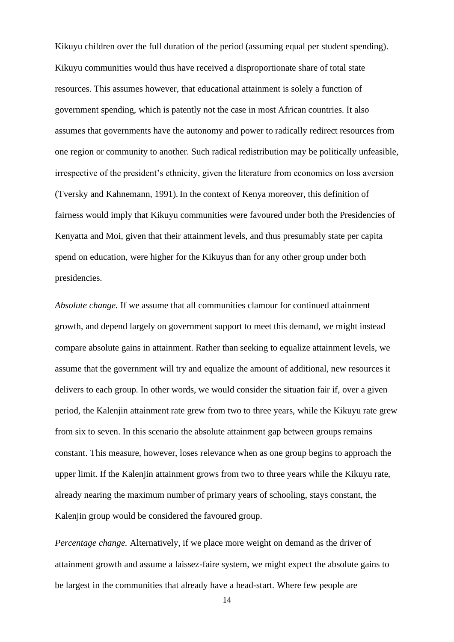Kikuyu children over the full duration of the period (assuming equal per student spending). Kikuyu communities would thus have received a disproportionate share of total state resources. This assumes however, that educational attainment is solely a function of government spending, which is patently not the case in most African countries. It also assumes that governments have the autonomy and power to radically redirect resources from one region or community to another. Such radical redistribution may be politically unfeasible, irrespective of the president's ethnicity, given the literature from economics on loss aversion (Tversky and Kahnemann, 1991). In the context of Kenya moreover, this definition of fairness would imply that Kikuyu communities were favoured under both the Presidencies of Kenyatta and Moi, given that their attainment levels, and thus presumably state per capita spend on education, were higher for the Kikuyus than for any other group under both presidencies.

*Absolute change.* If we assume that all communities clamour for continued attainment growth, and depend largely on government support to meet this demand, we might instead compare absolute gains in attainment. Rather than seeking to equalize attainment levels, we assume that the government will try and equalize the amount of additional, new resources it delivers to each group. In other words, we would consider the situation fair if, over a given period, the Kalenjin attainment rate grew from two to three years, while the Kikuyu rate grew from six to seven. In this scenario the absolute attainment gap between groups remains constant. This measure, however, loses relevance when as one group begins to approach the upper limit. If the Kalenjin attainment grows from two to three years while the Kikuyu rate, already nearing the maximum number of primary years of schooling, stays constant, the Kaleniin group would be considered the favoured group.

*Percentage change.* Alternatively, if we place more weight on demand as the driver of attainment growth and assume a laissez-faire system, we might expect the absolute gains to be largest in the communities that already have a head-start. Where few people are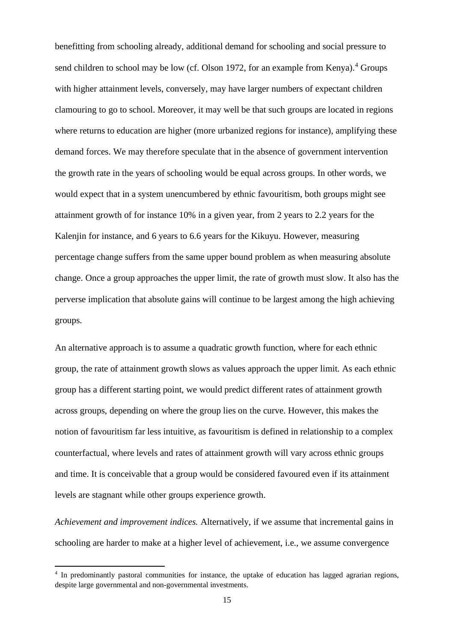benefitting from schooling already, additional demand for schooling and social pressure to send children to school may be low (cf. Olson 1972, for an example from Kenya).<sup>4</sup> Groups with higher attainment levels, conversely, may have larger numbers of expectant children clamouring to go to school. Moreover, it may well be that such groups are located in regions where returns to education are higher (more urbanized regions for instance), amplifying these demand forces. We may therefore speculate that in the absence of government intervention the growth rate in the years of schooling would be equal across groups. In other words, we would expect that in a system unencumbered by ethnic favouritism, both groups might see attainment growth of for instance 10% in a given year, from 2 years to 2.2 years for the Kalenjin for instance, and 6 years to 6.6 years for the Kikuyu. However, measuring percentage change suffers from the same upper bound problem as when measuring absolute change. Once a group approaches the upper limit, the rate of growth must slow. It also has the perverse implication that absolute gains will continue to be largest among the high achieving groups.

An alternative approach is to assume a quadratic growth function, where for each ethnic group, the rate of attainment growth slows as values approach the upper limit. As each ethnic group has a different starting point, we would predict different rates of attainment growth across groups, depending on where the group lies on the curve. However, this makes the notion of favouritism far less intuitive, as favouritism is defined in relationship to a complex counterfactual, where levels and rates of attainment growth will vary across ethnic groups and time. It is conceivable that a group would be considered favoured even if its attainment levels are stagnant while other groups experience growth.

*Achievement and improvement indices.* Alternatively, if we assume that incremental gains in schooling are harder to make at a higher level of achievement, i.e., we assume convergence

<sup>4</sup> In predominantly pastoral communities for instance, the uptake of education has lagged agrarian regions, despite large governmental and non-governmental investments.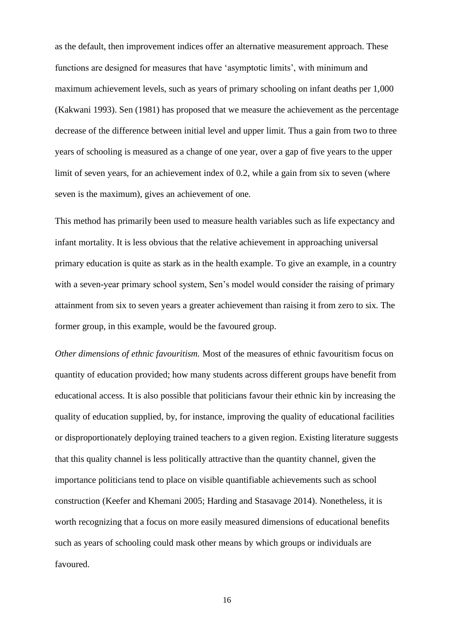as the default, then improvement indices offer an alternative measurement approach. These functions are designed for measures that have 'asymptotic limits', with minimum and maximum achievement levels, such as years of primary schooling on infant deaths per 1,000 (Kakwani 1993). Sen (1981) has proposed that we measure the achievement as the percentage decrease of the difference between initial level and upper limit. Thus a gain from two to three years of schooling is measured as a change of one year, over a gap of five years to the upper limit of seven years, for an achievement index of 0.2, while a gain from six to seven (where seven is the maximum), gives an achievement of one.

This method has primarily been used to measure health variables such as life expectancy and infant mortality. It is less obvious that the relative achievement in approaching universal primary education is quite as stark as in the health example. To give an example, in a country with a seven-year primary school system, Sen's model would consider the raising of primary attainment from six to seven years a greater achievement than raising it from zero to six. The former group, in this example, would be the favoured group.

*Other dimensions of ethnic favouritism.* Most of the measures of ethnic favouritism focus on quantity of education provided; how many students across different groups have benefit from educational access. It is also possible that politicians favour their ethnic kin by increasing the quality of education supplied, by, for instance, improving the quality of educational facilities or disproportionately deploying trained teachers to a given region. Existing literature suggests that this quality channel is less politically attractive than the quantity channel, given the importance politicians tend to place on visible quantifiable achievements such as school construction (Keefer and Khemani 2005; Harding and Stasavage 2014). Nonetheless, it is worth recognizing that a focus on more easily measured dimensions of educational benefits such as years of schooling could mask other means by which groups or individuals are favoured.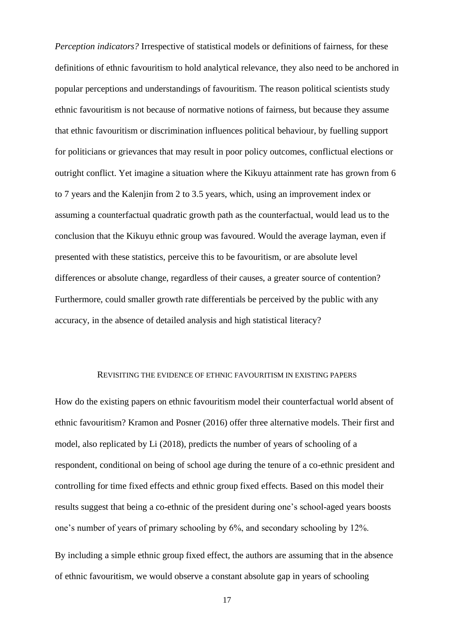*Perception indicators?* Irrespective of statistical models or definitions of fairness, for these definitions of ethnic favouritism to hold analytical relevance, they also need to be anchored in popular perceptions and understandings of favouritism. The reason political scientists study ethnic favouritism is not because of normative notions of fairness, but because they assume that ethnic favouritism or discrimination influences political behaviour, by fuelling support for politicians or grievances that may result in poor policy outcomes, conflictual elections or outright conflict. Yet imagine a situation where the Kikuyu attainment rate has grown from 6 to 7 years and the Kalenjin from 2 to 3.5 years, which, using an improvement index or assuming a counterfactual quadratic growth path as the counterfactual, would lead us to the conclusion that the Kikuyu ethnic group was favoured. Would the average layman, even if presented with these statistics, perceive this to be favouritism, or are absolute level differences or absolute change, regardless of their causes, a greater source of contention? Furthermore, could smaller growth rate differentials be perceived by the public with any accuracy, in the absence of detailed analysis and high statistical literacy?

#### REVISITING THE EVIDENCE OF ETHNIC FAVOURITISM IN EXISTING PAPERS

How do the existing papers on ethnic favouritism model their counterfactual world absent of ethnic favouritism? Kramon and Posner (2016) offer three alternative models. Their first and model, also replicated by Li (2018), predicts the number of years of schooling of a respondent, conditional on being of school age during the tenure of a co-ethnic president and controlling for time fixed effects and ethnic group fixed effects. Based on this model their results suggest that being a co-ethnic of the president during one's school-aged years boosts one's number of years of primary schooling by 6%, and secondary schooling by 12%.

By including a simple ethnic group fixed effect, the authors are assuming that in the absence of ethnic favouritism, we would observe a constant absolute gap in years of schooling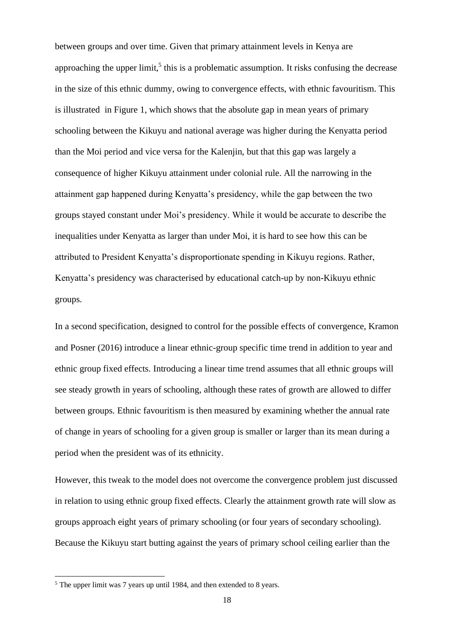between groups and over time. Given that primary attainment levels in Kenya are approaching the upper limit,<sup>5</sup> this is a problematic assumption. It risks confusing the decrease in the size of this ethnic dummy, owing to convergence effects, with ethnic favouritism. This is illustrated in Figure 1, which shows that the absolute gap in mean years of primary schooling between the Kikuyu and national average was higher during the Kenyatta period than the Moi period and vice versa for the Kalenjin, but that this gap was largely a consequence of higher Kikuyu attainment under colonial rule. All the narrowing in the attainment gap happened during Kenyatta's presidency, while the gap between the two groups stayed constant under Moi's presidency. While it would be accurate to describe the inequalities under Kenyatta as larger than under Moi, it is hard to see how this can be attributed to President Kenyatta's disproportionate spending in Kikuyu regions. Rather, Kenyatta's presidency was characterised by educational catch-up by non-Kikuyu ethnic groups.

In a second specification, designed to control for the possible effects of convergence, Kramon and Posner (2016) introduce a linear ethnic-group specific time trend in addition to year and ethnic group fixed effects. Introducing a linear time trend assumes that all ethnic groups will see steady growth in years of schooling, although these rates of growth are allowed to differ between groups. Ethnic favouritism is then measured by examining whether the annual rate of change in years of schooling for a given group is smaller or larger than its mean during a period when the president was of its ethnicity.

However, this tweak to the model does not overcome the convergence problem just discussed in relation to using ethnic group fixed effects. Clearly the attainment growth rate will slow as groups approach eight years of primary schooling (or four years of secondary schooling). Because the Kikuyu start butting against the years of primary school ceiling earlier than the

 $<sup>5</sup>$  The upper limit was 7 years up until 1984, and then extended to 8 years.</sup>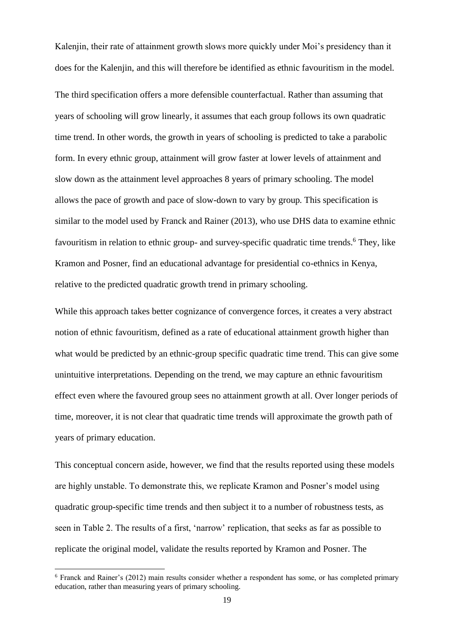Kalenjin, their rate of attainment growth slows more quickly under Moi's presidency than it does for the Kalenjin, and this will therefore be identified as ethnic favouritism in the model.

The third specification offers a more defensible counterfactual. Rather than assuming that years of schooling will grow linearly, it assumes that each group follows its own quadratic time trend. In other words, the growth in years of schooling is predicted to take a parabolic form. In every ethnic group, attainment will grow faster at lower levels of attainment and slow down as the attainment level approaches 8 years of primary schooling. The model allows the pace of growth and pace of slow-down to vary by group. This specification is similar to the model used by Franck and Rainer (2013), who use DHS data to examine ethnic favouritism in relation to ethnic group- and survey-specific quadratic time trends.<sup>6</sup> They, like Kramon and Posner, find an educational advantage for presidential co-ethnics in Kenya, relative to the predicted quadratic growth trend in primary schooling.

While this approach takes better cognizance of convergence forces, it creates a very abstract notion of ethnic favouritism, defined as a rate of educational attainment growth higher than what would be predicted by an ethnic-group specific quadratic time trend. This can give some unintuitive interpretations. Depending on the trend, we may capture an ethnic favouritism effect even where the favoured group sees no attainment growth at all. Over longer periods of time, moreover, it is not clear that quadratic time trends will approximate the growth path of years of primary education.

This conceptual concern aside, however, we find that the results reported using these models are highly unstable. To demonstrate this, we replicate Kramon and Posner's model using quadratic group-specific time trends and then subject it to a number of robustness tests, as seen in Table 2. The results of a first, 'narrow' replication, that seeks as far as possible to replicate the original model, validate the results reported by Kramon and Posner. The

<sup>6</sup> Franck and Rainer's (2012) main results consider whether a respondent has some, or has completed primary education, rather than measuring years of primary schooling.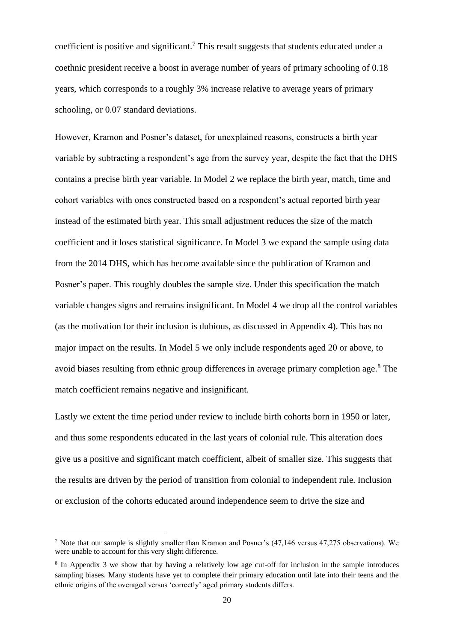coefficient is positive and significant.<sup>7</sup> This result suggests that students educated under a coethnic president receive a boost in average number of years of primary schooling of 0.18 years, which corresponds to a roughly 3% increase relative to average years of primary schooling, or 0.07 standard deviations.

However, Kramon and Posner's dataset, for unexplained reasons, constructs a birth year variable by subtracting a respondent's age from the survey year, despite the fact that the DHS contains a precise birth year variable. In Model 2 we replace the birth year, match, time and cohort variables with ones constructed based on a respondent's actual reported birth year instead of the estimated birth year. This small adjustment reduces the size of the match coefficient and it loses statistical significance. In Model 3 we expand the sample using data from the 2014 DHS, which has become available since the publication of Kramon and Posner's paper. This roughly doubles the sample size. Under this specification the match variable changes signs and remains insignificant. In Model 4 we drop all the control variables (as the motivation for their inclusion is dubious, as discussed in Appendix 4). This has no major impact on the results. In Model 5 we only include respondents aged 20 or above, to avoid biases resulting from ethnic group differences in average primary completion age.<sup>8</sup> The match coefficient remains negative and insignificant.

Lastly we extent the time period under review to include birth cohorts born in 1950 or later, and thus some respondents educated in the last years of colonial rule. This alteration does give us a positive and significant match coefficient, albeit of smaller size. This suggests that the results are driven by the period of transition from colonial to independent rule. Inclusion or exclusion of the cohorts educated around independence seem to drive the size and

<sup>7</sup> Note that our sample is slightly smaller than Kramon and Posner's (47,146 versus 47,275 observations). We were unable to account for this very slight difference.

<sup>&</sup>lt;sup>8</sup> In Appendix 3 we show that by having a relatively low age cut-off for inclusion in the sample introduces sampling biases. Many students have yet to complete their primary education until late into their teens and the ethnic origins of the overaged versus 'correctly' aged primary students differs.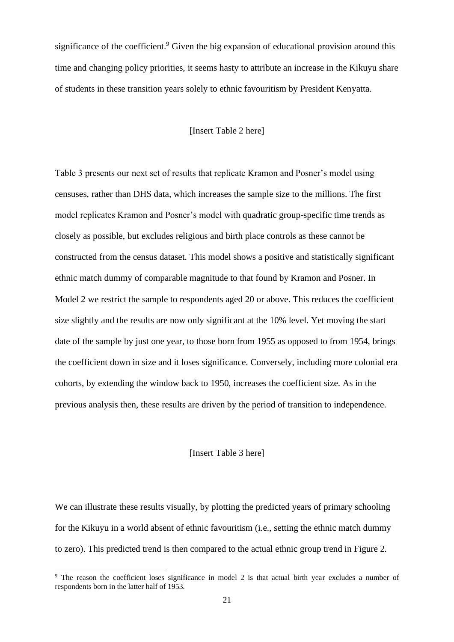significance of the coefficient.<sup>9</sup> Given the big expansion of educational provision around this time and changing policy priorities, it seems hasty to attribute an increase in the Kikuyu share of students in these transition years solely to ethnic favouritism by President Kenyatta.

## [Insert Table 2 here]

Table 3 presents our next set of results that replicate Kramon and Posner's model using censuses, rather than DHS data, which increases the sample size to the millions. The first model replicates Kramon and Posner's model with quadratic group-specific time trends as closely as possible, but excludes religious and birth place controls as these cannot be constructed from the census dataset. This model shows a positive and statistically significant ethnic match dummy of comparable magnitude to that found by Kramon and Posner. In Model 2 we restrict the sample to respondents aged 20 or above. This reduces the coefficient size slightly and the results are now only significant at the 10% level. Yet moving the start date of the sample by just one year, to those born from 1955 as opposed to from 1954, brings the coefficient down in size and it loses significance. Conversely, including more colonial era cohorts, by extending the window back to 1950, increases the coefficient size. As in the previous analysis then, these results are driven by the period of transition to independence.

#### [Insert Table 3 here]

We can illustrate these results visually, by plotting the predicted years of primary schooling for the Kikuyu in a world absent of ethnic favouritism (i.e., setting the ethnic match dummy to zero). This predicted trend is then compared to the actual ethnic group trend in Figure 2.

<sup>&</sup>lt;sup>9</sup> The reason the coefficient loses significance in model 2 is that actual birth year excludes a number of respondents born in the latter half of 1953.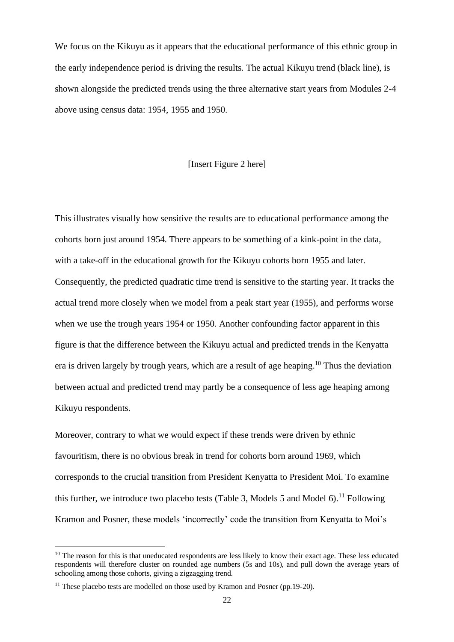We focus on the Kikuyu as it appears that the educational performance of this ethnic group in the early independence period is driving the results. The actual Kikuyu trend (black line), is shown alongside the predicted trends using the three alternative start years from Modules 2-4 above using census data: 1954, 1955 and 1950.

## [Insert Figure 2 here]

This illustrates visually how sensitive the results are to educational performance among the cohorts born just around 1954. There appears to be something of a kink-point in the data, with a take-off in the educational growth for the Kikuyu cohorts born 1955 and later. Consequently, the predicted quadratic time trend is sensitive to the starting year. It tracks the actual trend more closely when we model from a peak start year (1955), and performs worse when we use the trough years 1954 or 1950. Another confounding factor apparent in this figure is that the difference between the Kikuyu actual and predicted trends in the Kenyatta era is driven largely by trough years, which are a result of age heaping.<sup>10</sup> Thus the deviation between actual and predicted trend may partly be a consequence of less age heaping among Kikuyu respondents.

Moreover, contrary to what we would expect if these trends were driven by ethnic favouritism, there is no obvious break in trend for cohorts born around 1969, which corresponds to the crucial transition from President Kenyatta to President Moi. To examine this further, we introduce two placebo tests (Table 3, Models 5 and Model 6).<sup>11</sup> Following Kramon and Posner, these models 'incorrectly' code the transition from Kenyatta to Moi's

 $10$  The reason for this is that uneducated respondents are less likely to know their exact age. These less educated respondents will therefore cluster on rounded age numbers (5s and 10s), and pull down the average years of schooling among those cohorts, giving a zigzagging trend.

 $11$  These placebo tests are modelled on those used by Kramon and Posner (pp. 19-20).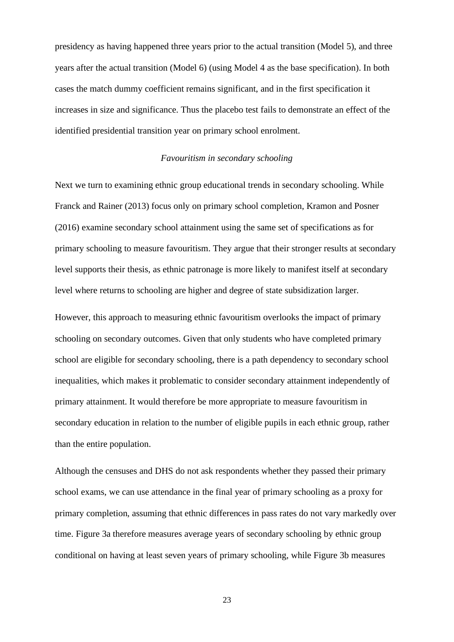presidency as having happened three years prior to the actual transition (Model 5), and three years after the actual transition (Model 6) (using Model 4 as the base specification). In both cases the match dummy coefficient remains significant, and in the first specification it increases in size and significance. Thus the placebo test fails to demonstrate an effect of the identified presidential transition year on primary school enrolment.

## *Favouritism in secondary schooling*

Next we turn to examining ethnic group educational trends in secondary schooling. While Franck and Rainer (2013) focus only on primary school completion, Kramon and Posner (2016) examine secondary school attainment using the same set of specifications as for primary schooling to measure favouritism. They argue that their stronger results at secondary level supports their thesis, as ethnic patronage is more likely to manifest itself at secondary level where returns to schooling are higher and degree of state subsidization larger.

However, this approach to measuring ethnic favouritism overlooks the impact of primary schooling on secondary outcomes. Given that only students who have completed primary school are eligible for secondary schooling, there is a path dependency to secondary school inequalities, which makes it problematic to consider secondary attainment independently of primary attainment. It would therefore be more appropriate to measure favouritism in secondary education in relation to the number of eligible pupils in each ethnic group, rather than the entire population.

Although the censuses and DHS do not ask respondents whether they passed their primary school exams, we can use attendance in the final year of primary schooling as a proxy for primary completion, assuming that ethnic differences in pass rates do not vary markedly over time. Figure 3a therefore measures average years of secondary schooling by ethnic group conditional on having at least seven years of primary schooling, while Figure 3b measures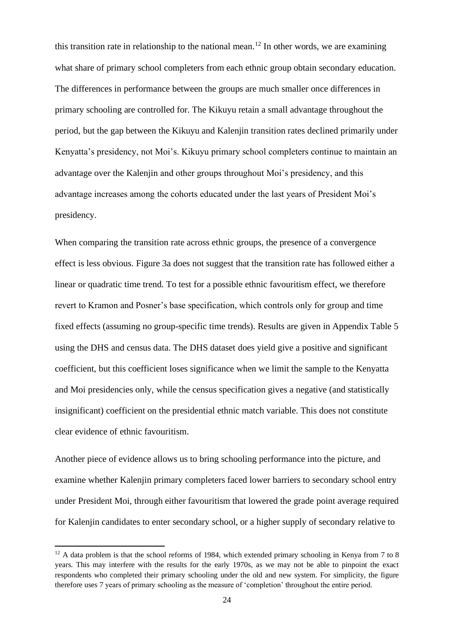this transition rate in relationship to the national mean.<sup>12</sup> In other words, we are examining what share of primary school completers from each ethnic group obtain secondary education. The differences in performance between the groups are much smaller once differences in primary schooling are controlled for. The Kikuyu retain a small advantage throughout the period, but the gap between the Kikuyu and Kalenjin transition rates declined primarily under Kenyatta's presidency, not Moi's. Kikuyu primary school completers continue to maintain an advantage over the Kalenjin and other groups throughout Moi's presidency, and this advantage increases among the cohorts educated under the last years of President Moi's presidency.

When comparing the transition rate across ethnic groups, the presence of a convergence effect is less obvious. Figure 3a does not suggest that the transition rate has followed either a linear or quadratic time trend. To test for a possible ethnic favouritism effect, we therefore revert to Kramon and Posner's base specification, which controls only for group and time fixed effects (assuming no group-specific time trends). Results are given in Appendix Table 5 using the DHS and census data. The DHS dataset does yield give a positive and significant coefficient, but this coefficient loses significance when we limit the sample to the Kenyatta and Moi presidencies only, while the census specification gives a negative (and statistically insignificant) coefficient on the presidential ethnic match variable. This does not constitute clear evidence of ethnic favouritism.

Another piece of evidence allows us to bring schooling performance into the picture, and examine whether Kalenjin primary completers faced lower barriers to secondary school entry under President Moi, through either favouritism that lowered the grade point average required for Kaleniin candidates to enter secondary school, or a higher supply of secondary relative to

 $12$  A data problem is that the school reforms of 1984, which extended primary schooling in Kenya from 7 to 8 years. This may interfere with the results for the early 1970s, as we may not be able to pinpoint the exact respondents who completed their primary schooling under the old and new system. For simplicity, the figure therefore uses 7 years of primary schooling as the measure of 'completion' throughout the entire period.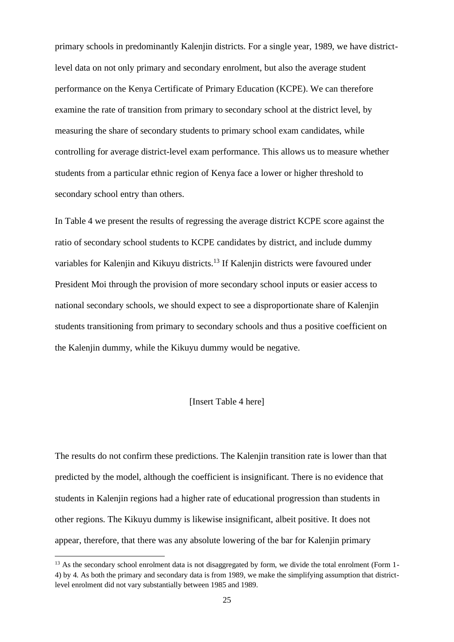primary schools in predominantly Kalenjin districts. For a single year, 1989, we have districtlevel data on not only primary and secondary enrolment, but also the average student performance on the Kenya Certificate of Primary Education (KCPE). We can therefore examine the rate of transition from primary to secondary school at the district level, by measuring the share of secondary students to primary school exam candidates, while controlling for average district-level exam performance. This allows us to measure whether students from a particular ethnic region of Kenya face a lower or higher threshold to secondary school entry than others.

In Table 4 we present the results of regressing the average district KCPE score against the ratio of secondary school students to KCPE candidates by district, and include dummy variables for Kalenjin and Kikuyu districts.<sup>13</sup> If Kalenjin districts were favoured under President Moi through the provision of more secondary school inputs or easier access to national secondary schools, we should expect to see a disproportionate share of Kalenjin students transitioning from primary to secondary schools and thus a positive coefficient on the Kalenjin dummy, while the Kikuyu dummy would be negative.

#### [Insert Table 4 here]

The results do not confirm these predictions. The Kalenjin transition rate is lower than that predicted by the model, although the coefficient is insignificant. There is no evidence that students in Kalenjin regions had a higher rate of educational progression than students in other regions. The Kikuyu dummy is likewise insignificant, albeit positive. It does not appear, therefore, that there was any absolute lowering of the bar for Kalenjin primary

<sup>&</sup>lt;sup>13</sup> As the secondary school enrolment data is not disaggregated by form, we divide the total enrolment (Form 1-4) by 4. As both the primary and secondary data is from 1989, we make the simplifying assumption that districtlevel enrolment did not vary substantially between 1985 and 1989.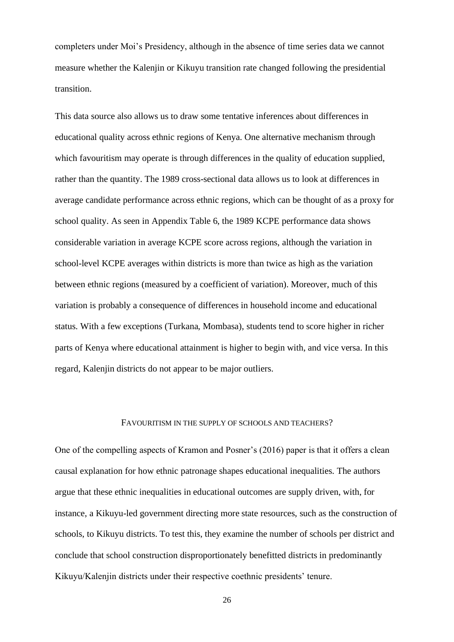completers under Moi's Presidency, although in the absence of time series data we cannot measure whether the Kalenjin or Kikuyu transition rate changed following the presidential transition.

This data source also allows us to draw some tentative inferences about differences in educational quality across ethnic regions of Kenya. One alternative mechanism through which favouritism may operate is through differences in the quality of education supplied, rather than the quantity. The 1989 cross-sectional data allows us to look at differences in average candidate performance across ethnic regions, which can be thought of as a proxy for school quality. As seen in Appendix Table 6, the 1989 KCPE performance data shows considerable variation in average KCPE score across regions, although the variation in school-level KCPE averages within districts is more than twice as high as the variation between ethnic regions (measured by a coefficient of variation). Moreover, much of this variation is probably a consequence of differences in household income and educational status. With a few exceptions (Turkana, Mombasa), students tend to score higher in richer parts of Kenya where educational attainment is higher to begin with, and vice versa. In this regard, Kalenjin districts do not appear to be major outliers.

## FAVOURITISM IN THE SUPPLY OF SCHOOLS AND TEACHERS?

One of the compelling aspects of Kramon and Posner's (2016) paper is that it offers a clean causal explanation for how ethnic patronage shapes educational inequalities. The authors argue that these ethnic inequalities in educational outcomes are supply driven, with, for instance, a Kikuyu-led government directing more state resources, such as the construction of schools, to Kikuyu districts. To test this, they examine the number of schools per district and conclude that school construction disproportionately benefitted districts in predominantly Kikuyu/Kalenjin districts under their respective coethnic presidents' tenure.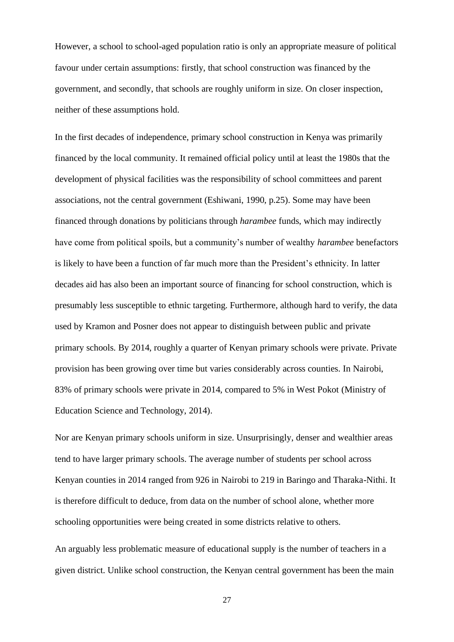However, a school to school-aged population ratio is only an appropriate measure of political favour under certain assumptions: firstly, that school construction was financed by the government, and secondly, that schools are roughly uniform in size. On closer inspection, neither of these assumptions hold.

In the first decades of independence, primary school construction in Kenya was primarily financed by the local community. It remained official policy until at least the 1980s that the development of physical facilities was the responsibility of school committees and parent associations, not the central government (Eshiwani, 1990, p.25). Some may have been financed through donations by politicians through *harambee* funds, which may indirectly have come from political spoils, but a community's number of wealthy *harambee* benefactors is likely to have been a function of far much more than the President's ethnicity. In latter decades aid has also been an important source of financing for school construction, which is presumably less susceptible to ethnic targeting. Furthermore, although hard to verify, the data used by Kramon and Posner does not appear to distinguish between public and private primary schools. By 2014, roughly a quarter of Kenyan primary schools were private. Private provision has been growing over time but varies considerably across counties. In Nairobi, 83% of primary schools were private in 2014, compared to 5% in West Pokot (Ministry of Education Science and Technology, 2014).

Nor are Kenyan primary schools uniform in size. Unsurprisingly, denser and wealthier areas tend to have larger primary schools. The average number of students per school across Kenyan counties in 2014 ranged from 926 in Nairobi to 219 in Baringo and Tharaka-Nithi. It is therefore difficult to deduce, from data on the number of school alone, whether more schooling opportunities were being created in some districts relative to others.

An arguably less problematic measure of educational supply is the number of teachers in a given district. Unlike school construction, the Kenyan central government has been the main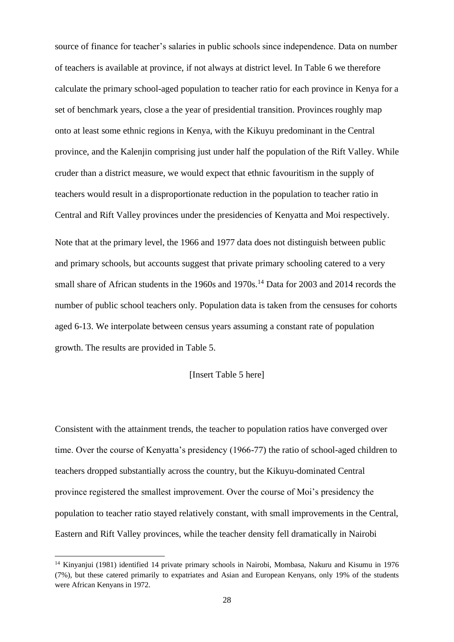source of finance for teacher's salaries in public schools since independence. Data on number of teachers is available at province, if not always at district level. In Table 6 we therefore calculate the primary school-aged population to teacher ratio for each province in Kenya for a set of benchmark years, close a the year of presidential transition. Provinces roughly map onto at least some ethnic regions in Kenya, with the Kikuyu predominant in the Central province, and the Kalenjin comprising just under half the population of the Rift Valley. While cruder than a district measure, we would expect that ethnic favouritism in the supply of teachers would result in a disproportionate reduction in the population to teacher ratio in Central and Rift Valley provinces under the presidencies of Kenyatta and Moi respectively. Note that at the primary level, the 1966 and 1977 data does not distinguish between public and primary schools, but accounts suggest that private primary schooling catered to a very small share of African students in the 1960s and 1970s.<sup>14</sup> Data for 2003 and 2014 records the number of public school teachers only. Population data is taken from the censuses for cohorts aged 6-13. We interpolate between census years assuming a constant rate of population growth. The results are provided in Table 5.

#### [Insert Table 5 here]

Consistent with the attainment trends, the teacher to population ratios have converged over time. Over the course of Kenyatta's presidency (1966-77) the ratio of school-aged children to teachers dropped substantially across the country, but the Kikuyu-dominated Central province registered the smallest improvement. Over the course of Moi's presidency the population to teacher ratio stayed relatively constant, with small improvements in the Central, Eastern and Rift Valley provinces, while the teacher density fell dramatically in Nairobi

<sup>&</sup>lt;sup>14</sup> Kinyanjui (1981) identified 14 private primary schools in Nairobi, Mombasa, Nakuru and Kisumu in 1976 (7%), but these catered primarily to expatriates and Asian and European Kenyans, only 19% of the students were African Kenyans in 1972.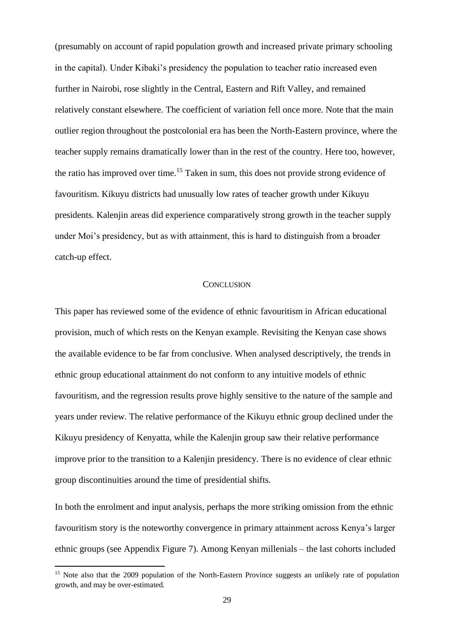(presumably on account of rapid population growth and increased private primary schooling in the capital). Under Kibaki's presidency the population to teacher ratio increased even further in Nairobi, rose slightly in the Central, Eastern and Rift Valley, and remained relatively constant elsewhere. The coefficient of variation fell once more. Note that the main outlier region throughout the postcolonial era has been the North-Eastern province, where the teacher supply remains dramatically lower than in the rest of the country. Here too, however, the ratio has improved over time.<sup>15</sup> Taken in sum, this does not provide strong evidence of favouritism. Kikuyu districts had unusually low rates of teacher growth under Kikuyu presidents. Kalenjin areas did experience comparatively strong growth in the teacher supply under Moi's presidency, but as with attainment, this is hard to distinguish from a broader catch-up effect.

#### **CONCLUSION**

This paper has reviewed some of the evidence of ethnic favouritism in African educational provision, much of which rests on the Kenyan example. Revisiting the Kenyan case shows the available evidence to be far from conclusive. When analysed descriptively, the trends in ethnic group educational attainment do not conform to any intuitive models of ethnic favouritism, and the regression results prove highly sensitive to the nature of the sample and years under review. The relative performance of the Kikuyu ethnic group declined under the Kikuyu presidency of Kenyatta, while the Kalenjin group saw their relative performance improve prior to the transition to a Kalenjin presidency. There is no evidence of clear ethnic group discontinuities around the time of presidential shifts.

In both the enrolment and input analysis, perhaps the more striking omission from the ethnic favouritism story is the noteworthy convergence in primary attainment across Kenya's larger ethnic groups (see Appendix Figure 7). Among Kenyan millenials – the last cohorts included

<sup>&</sup>lt;sup>15</sup> Note also that the 2009 population of the North-Eastern Province suggests an unlikely rate of population growth, and may be over-estimated.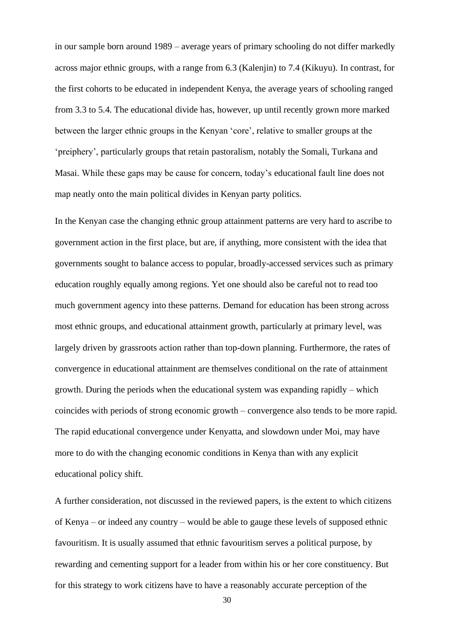in our sample born around 1989 – average years of primary schooling do not differ markedly across major ethnic groups, with a range from 6.3 (Kalenjin) to 7.4 (Kikuyu). In contrast, for the first cohorts to be educated in independent Kenya, the average years of schooling ranged from 3.3 to 5.4. The educational divide has, however, up until recently grown more marked between the larger ethnic groups in the Kenyan 'core', relative to smaller groups at the 'preiphery', particularly groups that retain pastoralism, notably the Somali, Turkana and Masai. While these gaps may be cause for concern, today's educational fault line does not map neatly onto the main political divides in Kenyan party politics.

In the Kenyan case the changing ethnic group attainment patterns are very hard to ascribe to government action in the first place, but are, if anything, more consistent with the idea that governments sought to balance access to popular, broadly-accessed services such as primary education roughly equally among regions. Yet one should also be careful not to read too much government agency into these patterns. Demand for education has been strong across most ethnic groups, and educational attainment growth, particularly at primary level, was largely driven by grassroots action rather than top-down planning. Furthermore, the rates of convergence in educational attainment are themselves conditional on the rate of attainment growth. During the periods when the educational system was expanding rapidly – which coincides with periods of strong economic growth – convergence also tends to be more rapid. The rapid educational convergence under Kenyatta, and slowdown under Moi, may have more to do with the changing economic conditions in Kenya than with any explicit educational policy shift.

A further consideration, not discussed in the reviewed papers, is the extent to which citizens of Kenya – or indeed any country – would be able to gauge these levels of supposed ethnic favouritism. It is usually assumed that ethnic favouritism serves a political purpose, by rewarding and cementing support for a leader from within his or her core constituency. But for this strategy to work citizens have to have a reasonably accurate perception of the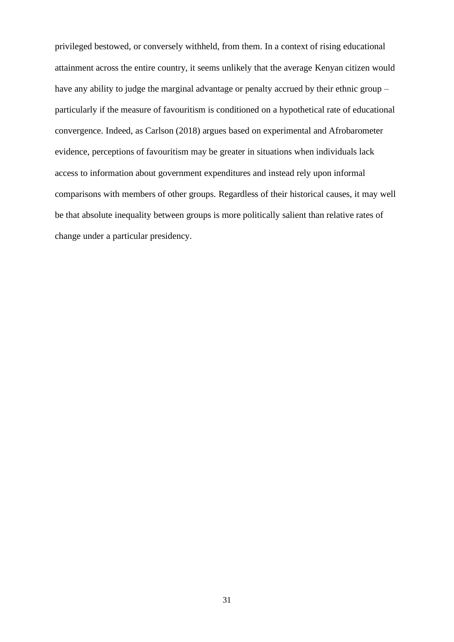privileged bestowed, or conversely withheld, from them. In a context of rising educational attainment across the entire country, it seems unlikely that the average Kenyan citizen would have any ability to judge the marginal advantage or penalty accrued by their ethnic group – particularly if the measure of favouritism is conditioned on a hypothetical rate of educational convergence. Indeed, as Carlson (2018) argues based on experimental and Afrobarometer evidence, perceptions of favouritism may be greater in situations when individuals lack access to information about government expenditures and instead rely upon informal comparisons with members of other groups. Regardless of their historical causes, it may well be that absolute inequality between groups is more politically salient than relative rates of change under a particular presidency.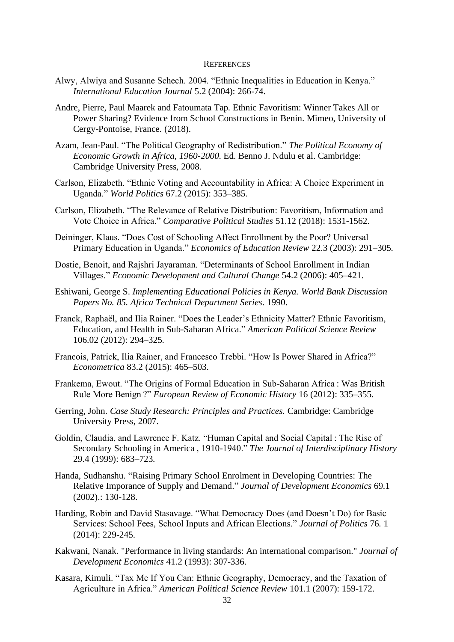#### **REFERENCES**

- Alwy, Alwiya and Susanne Schech. 2004. "Ethnic Inequalities in Education in Kenya." *International Education Journal* 5.2 (2004): 266-74.
- Andre, Pierre, Paul Maarek and Fatoumata Tap. Ethnic Favoritism: Winner Takes All or Power Sharing? Evidence from School Constructions in Benin. Mimeo, University of Cergy-Pontoise, France. (2018).
- Azam, Jean-Paul. "The Political Geography of Redistribution." *The Political Economy of Economic Growth in Africa, 1960-2000*. Ed. Benno J. Ndulu et al. Cambridge: Cambridge University Press, 2008.
- Carlson, Elizabeth. "Ethnic Voting and Accountability in Africa: A Choice Experiment in Uganda." *World Politics* 67.2 (2015): 353–385.
- Carlson, Elizabeth. "The Relevance of Relative Distribution: Favoritism, Information and Vote Choice in Africa." *Comparative Political Studies* 51.12 (2018): 1531-1562.
- Deininger, Klaus. "Does Cost of Schooling Affect Enrollment by the Poor? Universal Primary Education in Uganda." *Economics of Education Review* 22.3 (2003): 291–305.
- Dostie, Benoit, and Rajshri Jayaraman. "Determinants of School Enrollment in Indian Villages." *Economic Development and Cultural Change* 54.2 (2006): 405–421.
- Eshiwani, George S. *Implementing Educational Policies in Kenya. World Bank Discussion Papers No. 85. Africa Technical Department Series*. 1990.
- Franck, Raphaël, and Ilia Rainer. "Does the Leader's Ethnicity Matter? Ethnic Favoritism, Education, and Health in Sub-Saharan Africa." *American Political Science Review* 106.02 (2012): 294–325.
- Francois, Patrick, Ilia Rainer, and Francesco Trebbi. "How Is Power Shared in Africa?" *Econometrica* 83.2 (2015): 465–503.
- Frankema, Ewout. "The Origins of Formal Education in Sub-Saharan Africa : Was British Rule More Benign ?" *European Review of Economic History* 16 (2012): 335–355.
- Gerring, John. *Case Study Research: Principles and Practices.* Cambridge: Cambridge University Press, 2007.
- Goldin, Claudia, and Lawrence F. Katz. "Human Capital and Social Capital : The Rise of Secondary Schooling in America , 1910-1940." *The Journal of Interdisciplinary History* 29.4 (1999): 683–723.
- Handa, Sudhanshu. "Raising Primary School Enrolment in Developing Countries: The Relative Imporance of Supply and Demand." *Journal of Development Economics* 69.1 (2002).: 130-128.
- Harding, Robin and David Stasavage. "What Democracy Does (and Doesn't Do) for Basic Services: School Fees, School Inputs and African Elections." *Journal of Politics* 76. 1 (2014): 229-245.
- Kakwani, Nanak. "Performance in living standards: An international comparison." *Journal of Development Economics* 41.2 (1993): 307-336.
- Kasara, Kimuli. "Tax Me If You Can: Ethnic Geography, Democracy, and the Taxation of Agriculture in Africa." *American Political Science Review* 101.1 (2007): 159-172.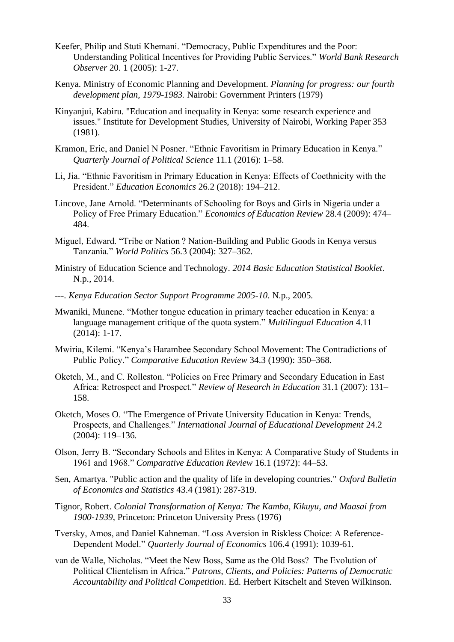- Keefer, Philip and Stuti Khemani. "Democracy, Public Expenditures and the Poor: Understanding Political Incentives for Providing Public Services." *World Bank Research Observer* 20. 1 (2005): 1-27.
- Kenya. Ministry of Economic Planning and Development. *Planning for progress: our fourth development plan, 1979-1983.* Nairobi: Government Printers (1979)
- Kinyanjui, Kabiru. "Education and inequality in Kenya: some research experience and issues." Institute for Development Studies, University of Nairobi, Working Paper 353 (1981).
- Kramon, Eric, and Daniel N Posner. "Ethnic Favoritism in Primary Education in Kenya." *Quarterly Journal of Political Science* 11.1 (2016): 1–58.
- Li, Jia. "Ethnic Favoritism in Primary Education in Kenya: Effects of Coethnicity with the President." *Education Economics* 26.2 (2018): 194–212.
- Lincove, Jane Arnold. "Determinants of Schooling for Boys and Girls in Nigeria under a Policy of Free Primary Education." *Economics of Education Review* 28.4 (2009): 474– 484.
- Miguel, Edward. "Tribe or Nation ? Nation-Building and Public Goods in Kenya versus Tanzania." *World Politics* 56.3 (2004): 327–362.
- Ministry of Education Science and Technology. *2014 Basic Education Statistical Booklet*. N.p., 2014.
- ---. *Kenya Education Sector Support Programme 2005-10*. N.p., 2005.
- Mwaniki, Munene. "Mother tongue education in primary teacher education in Kenya: a language management critique of the quota system." *Multilingual Education* 4.11 (2014): 1-17.
- Mwiria, Kilemi. "Kenya's Harambee Secondary School Movement: The Contradictions of Public Policy." *Comparative Education Review* 34.3 (1990): 350–368.
- Oketch, M., and C. Rolleston. "Policies on Free Primary and Secondary Education in East Africa: Retrospect and Prospect." *Review of Research in Education* 31.1 (2007): 131– 158.
- Oketch, Moses O. "The Emergence of Private University Education in Kenya: Trends, Prospects, and Challenges." *International Journal of Educational Development* 24.2 (2004): 119–136.
- Olson, Jerry B. "Secondary Schools and Elites in Kenya: A Comparative Study of Students in 1961 and 1968." *Comparative Education Review* 16.1 (1972): 44–53.
- Sen, Amartya. "Public action and the quality of life in developing countries." *Oxford Bulletin of Economics and Statistics* 43.4 (1981): 287-319.
- Tignor, Robert. *Colonial Transformation of Kenya: The Kamba, Kikuyu, and Maasai from 1900-1939*, Princeton: Princeton University Press (1976)
- Tversky, Amos, and Daniel Kahneman. "Loss Aversion in Riskless Choice: A Reference-Dependent Model." *Quarterly Journal of Economics* 106.4 (1991): 1039-61.
- van de Walle, Nicholas. "Meet the New Boss, Same as the Old Boss? The Evolution of Political Clientelism in Africa." *Patrons, Clients, and Policies: Patterns of Democratic Accountability and Political Competition*. Ed. Herbert Kitschelt and Steven Wilkinson.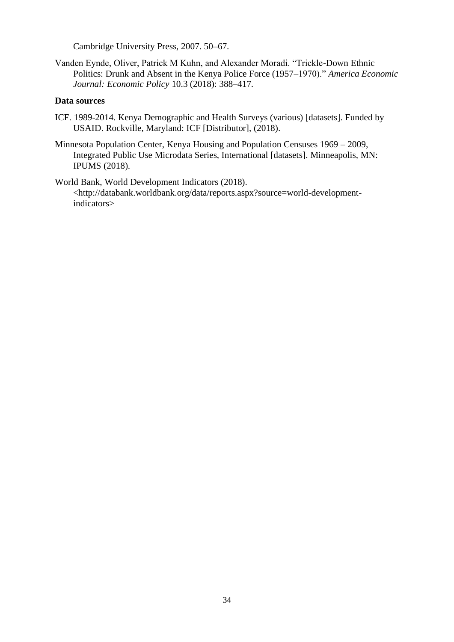Cambridge University Press, 2007. 50–67.

Vanden Eynde, Oliver, Patrick M Kuhn, and Alexander Moradi. "Trickle-Down Ethnic Politics: Drunk and Absent in the Kenya Police Force (1957–1970)." *America Economic Journal: Economic Policy* 10.3 (2018): 388–417.

## **Data sources**

- ICF. 1989-2014. Kenya Demographic and Health Surveys (various) [datasets]. Funded by USAID. Rockville, Maryland: ICF [Distributor], (2018).
- Minnesota Population Center, Kenya Housing and Population Censuses 1969 2009, Integrated Public Use Microdata Series, International [datasets]. Minneapolis, MN: IPUMS (2018).

World Bank, World Development Indicators (2018). <http://databank.worldbank.org/data/reports.aspx?source=world-developmentindicators>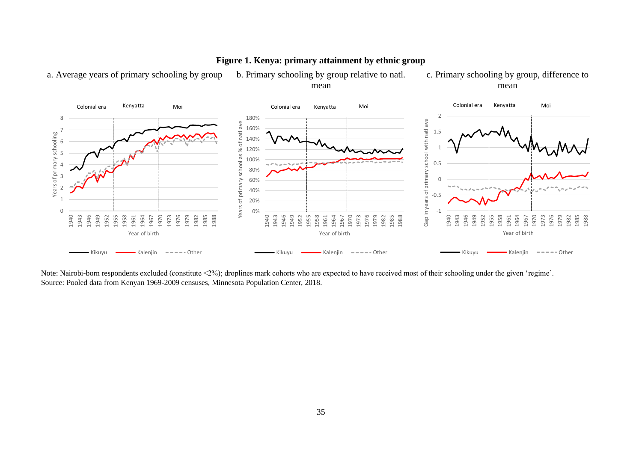

# **Figure 1. Kenya: primary attainment by ethnic group**

a. Average years of primary schooling by group b. Primary schooling by group relative to natl. mean c. Primary schooling by group, difference to mean

Note: Nairobi-born respondents excluded (constitute <2%); droplines mark cohorts who are expected to have received most of their schooling under the given 'regime'. Source: Pooled data from Kenyan 1969-2009 censuses, Minnesota Population Center, 2018.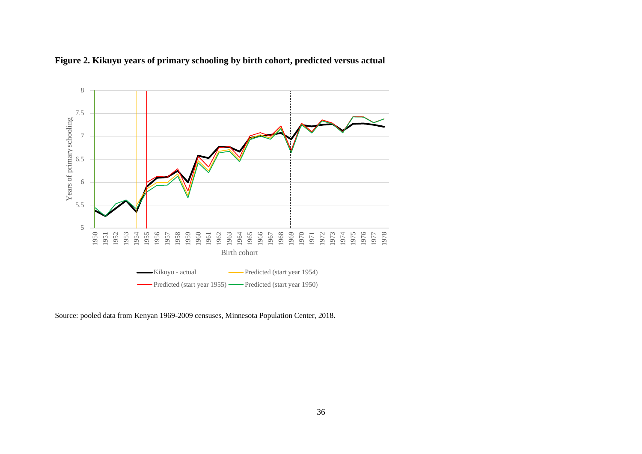



Source: pooled data from Kenyan 1969-2009 censuses, Minnesota Population Center, 2018.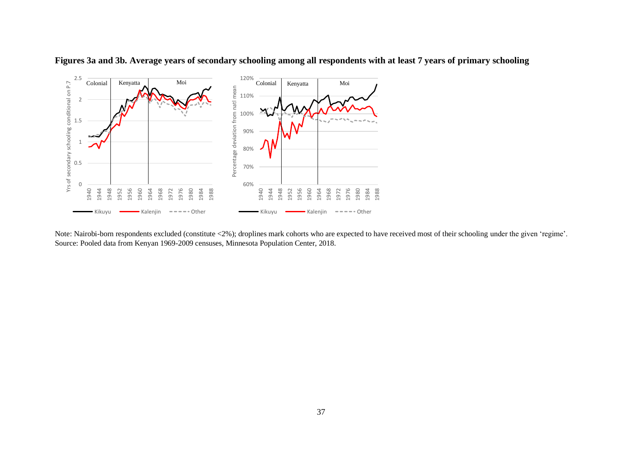

**Figures 3a and 3b. Average years of secondary schooling among all respondents with at least 7 years of primary schooling**

Note: Nairobi-born respondents excluded (constitute <2%); droplines mark cohorts who are expected to have received most of their schooling under the given 'regime'. Source: Pooled data from Kenyan 1969-2009 censuses, Minnesota Population Center, 2018.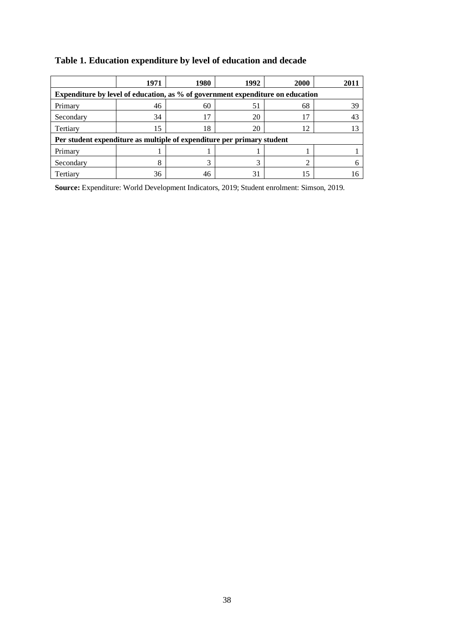|                                                                                | 1971                                                                   | 1980 | 1992 | 2000 | 2011 |  |  |  |  |  |
|--------------------------------------------------------------------------------|------------------------------------------------------------------------|------|------|------|------|--|--|--|--|--|
| Expenditure by level of education, as % of government expenditure on education |                                                                        |      |      |      |      |  |  |  |  |  |
| Primary                                                                        | 46                                                                     | 60   | 51   | 68   | 39   |  |  |  |  |  |
| Secondary                                                                      | 34                                                                     | 17   | 20   |      | 43   |  |  |  |  |  |
| Tertiary                                                                       | 15                                                                     | 18   | 20   |      |      |  |  |  |  |  |
|                                                                                | Per student expenditure as multiple of expenditure per primary student |      |      |      |      |  |  |  |  |  |
| Primary                                                                        |                                                                        |      |      |      |      |  |  |  |  |  |
| Secondary                                                                      | 8                                                                      |      |      |      |      |  |  |  |  |  |
| Tertiary                                                                       | 36                                                                     |      |      |      |      |  |  |  |  |  |

# **Table 1. Education expenditure by level of education and decade**

**Source:** Expenditure: World Development Indicators, 2019; Student enrolment: Simson, 2019.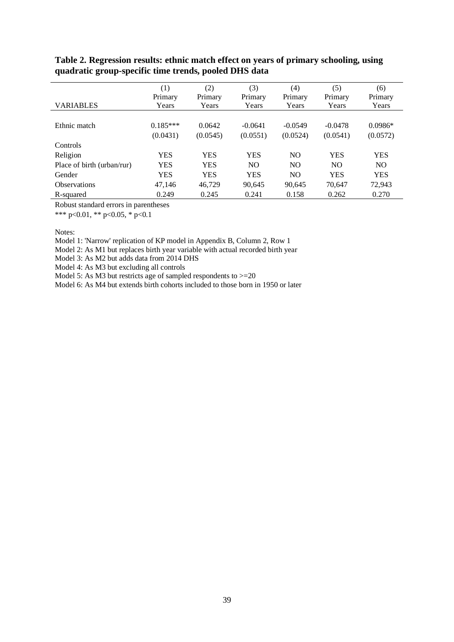| <b>VARIABLES</b>           | (1)<br>Primary<br>Years | (2)<br>Primary<br>Years | (3)<br>Primary<br>Years | (4)<br>Primary<br>Years | (5)<br>Primary<br>Years | (6)<br>Primary<br>Years |
|----------------------------|-------------------------|-------------------------|-------------------------|-------------------------|-------------------------|-------------------------|
| Ethnic match               | $0.185***$<br>(0.0431)  | 0.0642<br>(0.0545)      | $-0.0641$<br>(0.0551)   | $-0.0549$<br>(0.0524)   | $-0.0478$<br>(0.0541)   | $0.0986*$<br>(0.0572)   |
| <b>Controls</b>            |                         |                         |                         |                         |                         |                         |
| Religion                   | <b>YES</b>              | YES                     | <b>YES</b>              | N <sub>O</sub>          | <b>YES</b>              | <b>YES</b>              |
| Place of birth (urban/rur) | <b>YES</b>              | YES                     | N <sub>O</sub>          | N <sub>O</sub>          | N <sub>O</sub>          | NO.                     |
| Gender                     | <b>YES</b>              | YES                     | <b>YES</b>              | N <sub>O</sub>          | <b>YES</b>              | <b>YES</b>              |
| <b>Observations</b>        | 47,146                  | 46,729                  | 90,645                  | 90,645                  | 70,647                  | 72,943                  |
| R-squared                  | 0.249                   | 0.245                   | 0.241                   | 0.158                   | 0.262                   | 0.270                   |

## **Table 2. Regression results: ethnic match effect on years of primary schooling, using quadratic group-specific time trends, pooled DHS data**

Robust standard errors in parentheses

\*\*\* p<0.01, \*\* p<0.05, \* p<0.1

Notes:

Model 1: 'Narrow' replication of KP model in Appendix B, Column 2, Row 1

Model 2: As M1 but replaces birth year variable with actual recorded birth year

Model 3: As M2 but adds data from 2014 DHS

Model 4: As M3 but excluding all controls

Model 5: As M3 but restricts age of sampled respondents to  $>=20$ 

Model 6: As M4 but extends birth cohorts included to those born in 1950 or later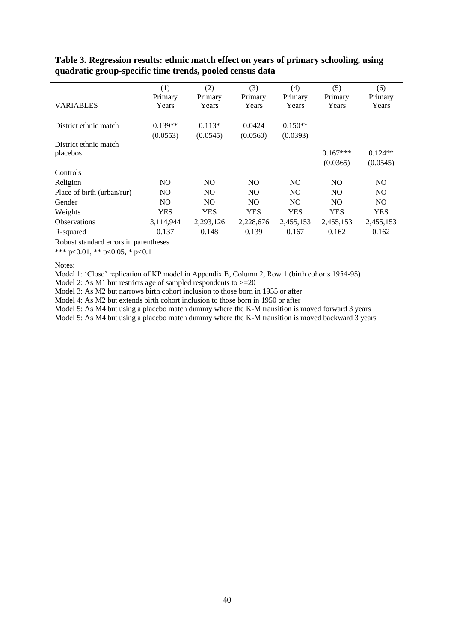|                            | (1)            | (2)            | (3)        | (4)            | (5)            | (6)            |
|----------------------------|----------------|----------------|------------|----------------|----------------|----------------|
|                            | Primary        | Primary        | Primary    | Primary        | Primary        | Primary        |
| VARIABLES                  | Years          | Years          | Years      | Years          | Years          | Years          |
|                            |                |                |            |                |                |                |
| District ethnic match      | $0.139**$      | $0.113*$       | 0.0424     | $0.150**$      |                |                |
|                            | (0.0553)       | (0.0545)       | (0.0560)   | (0.0393)       |                |                |
| District ethnic match      |                |                |            |                |                |                |
| placebos                   |                |                |            |                | $0.167***$     | $0.124**$      |
|                            |                |                |            |                | (0.0365)       | (0.0545)       |
| Controls                   |                |                |            |                |                |                |
| Religion                   | N <sub>O</sub> | N <sub>O</sub> | NO.        | N <sub>O</sub> | N <sub>O</sub> | N <sub>O</sub> |
| Place of birth (urban/rur) | NO.            | N <sub>O</sub> | NO.        | NO.            | N <sub>O</sub> | NO.            |
| Gender                     | N <sub>O</sub> | N <sub>O</sub> | NO.        | N <sub>O</sub> | NO.            | NO.            |
| Weights                    | <b>YES</b>     | <b>YES</b>     | <b>YES</b> | <b>YES</b>     | <b>YES</b>     | <b>YES</b>     |
| <b>Observations</b>        | 3,114,944      | 2, 293, 126    | 2,228,676  | 2,455,153      | 2,455,153      | 2,455,153      |
| R-squared                  | 0.137          | 0.148          | 0.139      | 0.167          | 0.162          | 0.162          |

## **Table 3. Regression results: ethnic match effect on years of primary schooling, using quadratic group-specific time trends, pooled census data**

Robust standard errors in parentheses

\*\*\* p<0.01, \*\* p<0.05, \* p<0.1

Notes:

Model 1: 'Close' replication of KP model in Appendix B, Column 2, Row 1 (birth cohorts 1954-95)

Model 2: As M1 but restricts age of sampled respondents to  $>=$  20

Model 3: As M2 but narrows birth cohort inclusion to those born in 1955 or after

Model 4: As M2 but extends birth cohort inclusion to those born in 1950 or after

Model 5: As M4 but using a placebo match dummy where the K-M transition is moved forward 3 years

Model 5: As M4 but using a placebo match dummy where the K-M transition is moved backward 3 years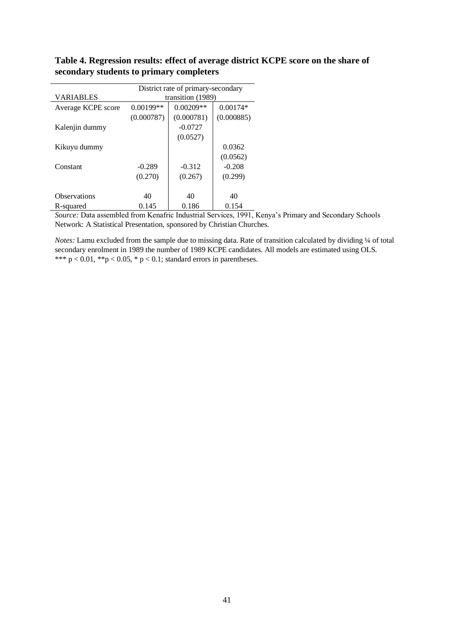|                     | District rate of primary-secondary |             |            |  |  |  |  |
|---------------------|------------------------------------|-------------|------------|--|--|--|--|
| <b>VARIABLES</b>    | transition (1989)                  |             |            |  |  |  |  |
| Average KCPE score  | $0.00199**$                        | $0.00209**$ | $0.00174*$ |  |  |  |  |
|                     | (0.000787)                         | (0.000781)  | (0.000885) |  |  |  |  |
| Kalenjin dummy      |                                    | $-0.0727$   |            |  |  |  |  |
|                     |                                    | (0.0527)    |            |  |  |  |  |
| Kikuyu dummy        |                                    |             | 0.0362     |  |  |  |  |
|                     |                                    |             | (0.0562)   |  |  |  |  |
| Constant            | $-0.289$                           | $-0.312$    | $-0.208$   |  |  |  |  |
|                     | (0.270)                            | (0.267)     | (0.299)    |  |  |  |  |
|                     |                                    |             |            |  |  |  |  |
| <b>Observations</b> | 40                                 | 40          | 40         |  |  |  |  |
| R-squared           | 0.145                              | 0.186       | 0.154      |  |  |  |  |

# **Table 4. Regression results: effect of average district KCPE score on the share of secondary students to primary completers**

*Source:* Data assembled from Kenafric Industrial Services, 1991, Kenya's Primary and Secondary Schools Network: A Statistical Presentation, sponsored by Christian Churches.

*Notes:* Lamu excluded from the sample due to missing data. Rate of transition calculated by dividing ¼ of total secondary enrolment in 1989 the number of 1989 KCPE candidates. All models are estimated using OLS. \*\*\*  $p < 0.01$ , \*\* $p < 0.05$ , \*  $p < 0.1$ ; standard errors in parentheses.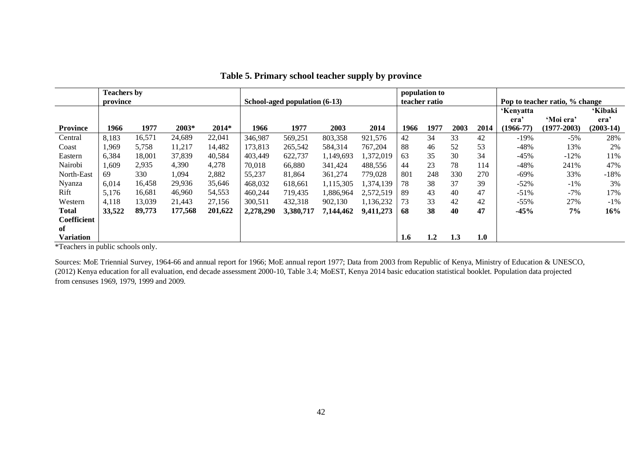|                  | <b>Teachers by</b> |        |         |         |                               |           |           |           | teacher ratio | population to |      |                                |               |             |                |
|------------------|--------------------|--------|---------|---------|-------------------------------|-----------|-----------|-----------|---------------|---------------|------|--------------------------------|---------------|-------------|----------------|
|                  | province           |        |         |         | School-aged population (6-13) |           |           |           |               |               |      | Pop to teacher ratio, % change |               |             |                |
|                  |                    |        |         |         |                               |           |           |           |               |               |      |                                | 'Kenyatta     |             | <b>'Kibaki</b> |
|                  |                    |        |         |         |                               |           |           |           |               |               |      |                                | era           | 'Moi era'   | era'           |
| <b>Province</b>  | 1966               | 1977   | 2003*   | $2014*$ | 1966                          | 1977      | 2003      | 2014      | 1966          | 1977          | 2003 | 2014                           | $(1966 - 77)$ | (1977-2003) | $(2003-14)$    |
| Central          | 8,183              | 16,571 | 24,689  | 22,041  | 346,987                       | 569,251   | 803,358   | 921,576   | 42            | 34            | 33   | 42                             | -19%          | $-5\%$      | 28%            |
| Coast            | l.969              | 5,758  | 11,217  | 14,482  | 173,813                       | 265,542   | 584,314   | 767,204   | 88            | 46            | 52   | 53                             | $-48%$        | 13%         | 2%             |
| Eastern          | 6,384              | 18,001 | 37,839  | 40,584  | 403,449                       | 622,737   | 1,149,693 | ,372,019  | 63            | 35            | 30   | 34                             | $-45%$        | $-12%$      | 11%            |
| Nairobi          | 1,609              | 2,935  | 4,390   | 4,278   | 70,018                        | 66,880    | 341,424   | 488,556   | 44            | 23            | 78   | 114                            | $-48%$        | 241%        | 47%            |
| North-East       | 69                 | 330    | 1,094   | 2,882   | 55,237                        | 81,864    | 361,274   | 779.028   | 801           | 248           | 330  | 270                            | $-69\%$       | 33%         | $-18%$         |
| Nyanza           | 6.014              | 16,458 | 29,936  | 35,646  | 468,032                       | 618,661   | 1,115,305 | ,374,139  | 78            | 38            | 37   | 39                             | $-52%$        | $-1\%$      | 3%             |
| Rift             | 5,176              | 16,681 | 46,960  | 54,553  | 460,244                       | 719,435   | 1,886,964 | 2,572,519 | 89            | 43            | 40   | 47                             | $-51%$        | $-7%$       | 17%            |
| Western          | 4,118              | 13,039 | 21,443  | 27,156  | 300,511                       | 432,318   | 902,130   | 1,136,232 | 73            | 33            | 42   | 42                             | $-55%$        | 27%         | $-1\%$         |
| <b>Total</b>     | 33,522             | 89,773 | 177,568 | 201,622 | 2,278,290                     | 3,380,717 | 7,144,462 | 9,411,273 | 68            | 38            | 40   | 47                             | $-45%$        | 7%          | 16%            |
| Coefficient      |                    |        |         |         |                               |           |           |           |               |               |      |                                |               |             |                |
| of               |                    |        |         |         |                               |           |           |           |               |               |      |                                |               |             |                |
| <b>Variation</b> |                    |        |         |         |                               |           |           |           | 1.6           | 1.2           | 1.3  | 1.0                            |               |             |                |

**Table 5. Primary school teacher supply by province**

\*Teachers in public schools only.

Sources: MoE Triennial Survey, 1964-66 and annual report for 1966; MoE annual report 1977; Data from 2003 from Republic of Kenya, Ministry of Education & UNESCO, (2012) Kenya education for all evaluation, end decade assessment 2000-10, Table 3.4; MoEST, Kenya 2014 basic education statistical booklet. Population data projected from censuses 1969, 1979, 1999 and 2009.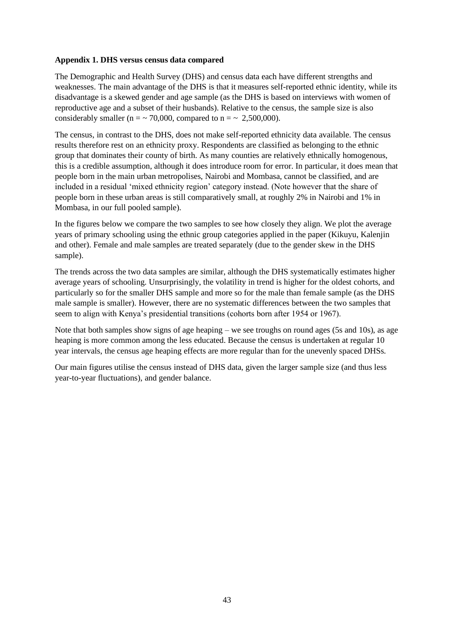#### **Appendix 1. DHS versus census data compared**

The Demographic and Health Survey (DHS) and census data each have different strengths and weaknesses. The main advantage of the DHS is that it measures self-reported ethnic identity, while its disadvantage is a skewed gender and age sample (as the DHS is based on interviews with women of reproductive age and a subset of their husbands). Relative to the census, the sample size is also considerably smaller (n =  $\sim$  70,000, compared to n =  $\sim$  2,500,000).

The census, in contrast to the DHS, does not make self-reported ethnicity data available. The census results therefore rest on an ethnicity proxy. Respondents are classified as belonging to the ethnic group that dominates their county of birth. As many counties are relatively ethnically homogenous, this is a credible assumption, although it does introduce room for error. In particular, it does mean that people born in the main urban metropolises, Nairobi and Mombasa, cannot be classified, and are included in a residual 'mixed ethnicity region' category instead. (Note however that the share of people born in these urban areas is still comparatively small, at roughly 2% in Nairobi and 1% in Mombasa, in our full pooled sample).

In the figures below we compare the two samples to see how closely they align. We plot the average years of primary schooling using the ethnic group categories applied in the paper (Kikuyu, Kalenjin and other). Female and male samples are treated separately (due to the gender skew in the DHS sample).

The trends across the two data samples are similar, although the DHS systematically estimates higher average years of schooling. Unsurprisingly, the volatility in trend is higher for the oldest cohorts, and particularly so for the smaller DHS sample and more so for the male than female sample (as the DHS male sample is smaller). However, there are no systematic differences between the two samples that seem to align with Kenya's presidential transitions (cohorts born after 1954 or 1967).

Note that both samples show signs of age heaping – we see troughs on round ages (5s and 10s), as age heaping is more common among the less educated. Because the census is undertaken at regular 10 year intervals, the census age heaping effects are more regular than for the unevenly spaced DHSs.

Our main figures utilise the census instead of DHS data, given the larger sample size (and thus less year-to-year fluctuations), and gender balance.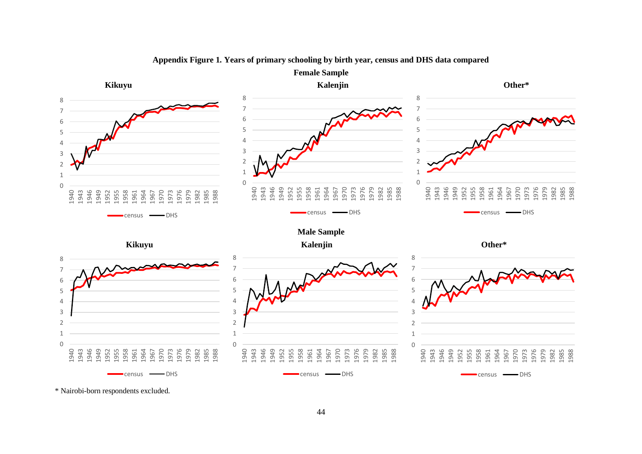

#### **Appendix Figure 1. Years of primary schooling by birth year, census and DHS data compared**

\* Nairobi-born respondents excluded.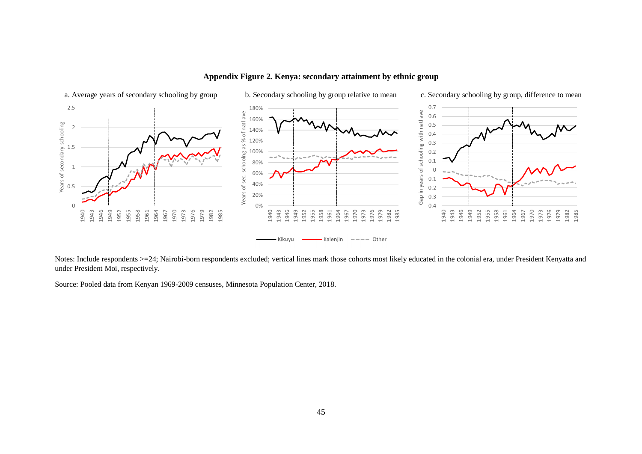

**Appendix Figure 2. Kenya: secondary attainment by ethnic group**

Notes: Include respondents >=24; Nairobi-born respondents excluded; vertical lines mark those cohorts most likely educated in the colonial era, under President Kenyatta and under President Moi, respectively.

Source: Pooled data from Kenyan 1969-2009 censuses, Minnesota Population Center, 2018.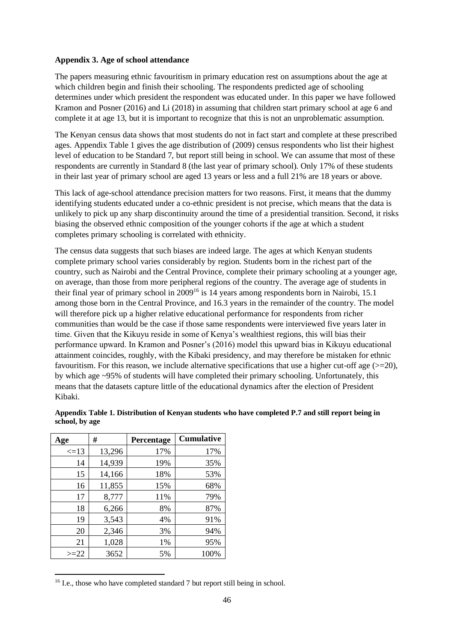#### **Appendix 3. Age of school attendance**

The papers measuring ethnic favouritism in primary education rest on assumptions about the age at which children begin and finish their schooling. The respondents predicted age of schooling determines under which president the respondent was educated under. In this paper we have followed Kramon and Posner (2016) and Li (2018) in assuming that children start primary school at age 6 and complete it at age 13, but it is important to recognize that this is not an unproblematic assumption.

The Kenyan census data shows that most students do not in fact start and complete at these prescribed ages. Appendix Table 1 gives the age distribution of (2009) census respondents who list their highest level of education to be Standard 7, but report still being in school. We can assume that most of these respondents are currently in Standard 8 (the last year of primary school). Only 17% of these students in their last year of primary school are aged 13 years or less and a full 21% are 18 years or above.

This lack of age-school attendance precision matters for two reasons. First, it means that the dummy identifying students educated under a co-ethnic president is not precise, which means that the data is unlikely to pick up any sharp discontinuity around the time of a presidential transition. Second, it risks biasing the observed ethnic composition of the younger cohorts if the age at which a student completes primary schooling is correlated with ethnicity.

The census data suggests that such biases are indeed large. The ages at which Kenyan students complete primary school varies considerably by region. Students born in the richest part of the country, such as Nairobi and the Central Province, complete their primary schooling at a younger age, on average, than those from more peripheral regions of the country. The average age of students in their final year of primary school in 2009<sup>16</sup> is 14 years among respondents born in Nairobi, 15.1 among those born in the Central Province, and 16.3 years in the remainder of the country. The model will therefore pick up a higher relative educational performance for respondents from richer communities than would be the case if those same respondents were interviewed five years later in time. Given that the Kikuyu reside in some of Kenya's wealthiest regions, this will bias their performance upward. In Kramon and Posner's (2016) model this upward bias in Kikuyu educational attainment coincides, roughly, with the Kibaki presidency, and may therefore be mistaken for ethnic favouritism. For this reason, we include alternative specifications that use a higher cut-off age  $(>=20)$ , by which age ~95% of students will have completed their primary schooling. Unfortunately, this means that the datasets capture little of the educational dynamics after the election of President Kibaki.

| Age        | #      | Percentage | <b>Cumulative</b> |
|------------|--------|------------|-------------------|
| $\leq$ =13 | 13,296 | 17%        | 17%               |
| 14         | 14,939 | 19%        | 35%               |
| 15         | 14,166 | 18%        | 53%               |
| 16         | 11,855 | 15%        | 68%               |
| 17         | 8,777  | 11%        | 79%               |
| 18         | 6,266  | 8%         | 87%               |
| 19         | 3,543  | 4%         | 91%               |
| 20         | 2,346  | 3%         | 94%               |
| 21         | 1,028  | 1%         | 95%               |
| $>=22$     | 3652   | 5%         | 100%              |

**Appendix Table 1. Distribution of Kenyan students who have completed P.7 and still report being in school, by age**

<sup>&</sup>lt;sup>16</sup> I.e., those who have completed standard 7 but report still being in school.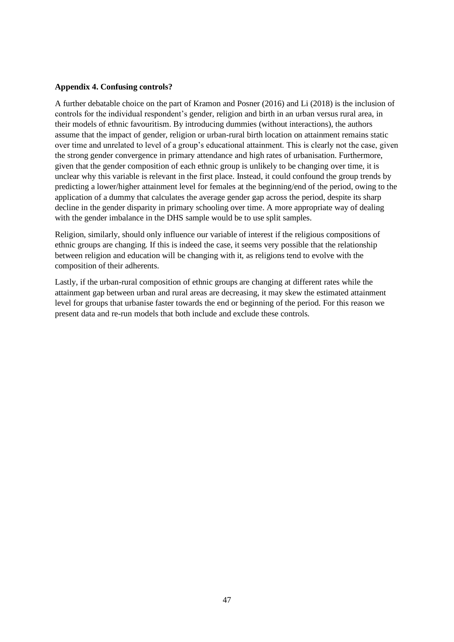#### **Appendix 4. Confusing controls?**

A further debatable choice on the part of Kramon and Posner (2016) and Li (2018) is the inclusion of controls for the individual respondent's gender, religion and birth in an urban versus rural area, in their models of ethnic favouritism. By introducing dummies (without interactions), the authors assume that the impact of gender, religion or urban-rural birth location on attainment remains static over time and unrelated to level of a group's educational attainment. This is clearly not the case, given the strong gender convergence in primary attendance and high rates of urbanisation. Furthermore, given that the gender composition of each ethnic group is unlikely to be changing over time, it is unclear why this variable is relevant in the first place. Instead, it could confound the group trends by predicting a lower/higher attainment level for females at the beginning/end of the period, owing to the application of a dummy that calculates the average gender gap across the period, despite its sharp decline in the gender disparity in primary schooling over time. A more appropriate way of dealing with the gender imbalance in the DHS sample would be to use split samples.

Religion, similarly, should only influence our variable of interest if the religious compositions of ethnic groups are changing. If this is indeed the case, it seems very possible that the relationship between religion and education will be changing with it, as religions tend to evolve with the composition of their adherents.

Lastly, if the urban-rural composition of ethnic groups are changing at different rates while the attainment gap between urban and rural areas are decreasing, it may skew the estimated attainment level for groups that urbanise faster towards the end or beginning of the period. For this reason we present data and re-run models that both include and exclude these controls.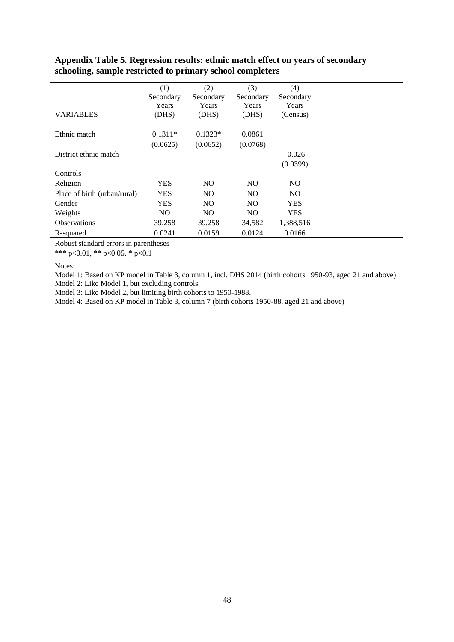| <b>VARIABLES</b>             | (1)<br>Secondary<br>Years<br>(DHS) | (2)<br>Secondary<br>Years<br>(DHS) | (3)<br>Secondary<br>Years<br>(DHS) | (4)<br>Secondary<br>Years<br>(Census) |
|------------------------------|------------------------------------|------------------------------------|------------------------------------|---------------------------------------|
|                              |                                    |                                    |                                    |                                       |
| Ethnic match                 | $0.1311*$                          | $0.1323*$                          | 0.0861                             |                                       |
|                              | (0.0625)                           | (0.0652)                           | (0.0768)                           |                                       |
| District ethnic match        |                                    |                                    |                                    | $-0.026$                              |
|                              |                                    |                                    |                                    | (0.0399)                              |
| Controls                     |                                    |                                    |                                    |                                       |
| Religion                     | <b>YES</b>                         | N <sub>O</sub>                     | N <sub>O</sub>                     | N <sub>O</sub>                        |
| Place of birth (urban/rural) | <b>YES</b>                         | N <sub>O</sub>                     | NO.                                | NO.                                   |
| Gender                       | <b>YES</b>                         | N <sub>O</sub>                     | N <sub>O</sub>                     | <b>YES</b>                            |
| Weights                      | N <sub>O</sub>                     | NO.                                | N <sub>O</sub>                     | <b>YES</b>                            |
| <b>Observations</b>          | 39,258                             | 39,258                             | 34,582                             | 1,388,516                             |
| R-squared                    | 0.0241                             | 0.0159                             | 0.0124                             | 0.0166                                |

# **Appendix Table 5. Regression results: ethnic match effect on years of secondary schooling, sample restricted to primary school completers**

Robust standard errors in parentheses

\*\*\* p<0.01, \*\* p<0.05, \* p<0.1

Notes:

Model 1: Based on KP model in Table 3, column 1, incl. DHS 2014 (birth cohorts 1950-93, aged 21 and above)

Model 2: Like Model 1, but excluding controls.

Model 3: Like Model 2, but limiting birth cohorts to 1950-1988.

Model 4: Based on KP model in Table 3, column 7 (birth cohorts 1950-88, aged 21 and above)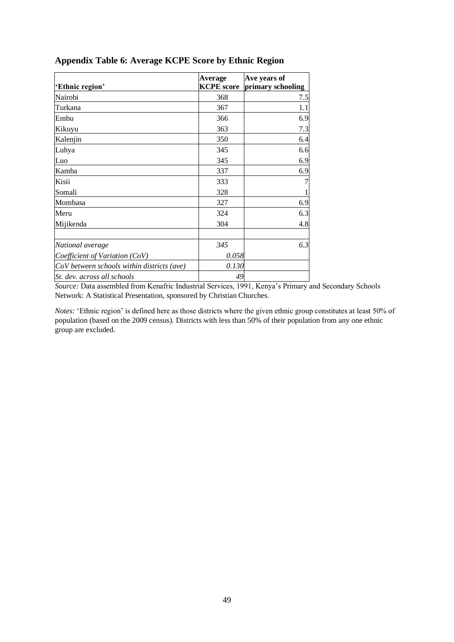| 'Ethnic region'                            | Average<br><b>KCPE</b> score | Ave years of<br>primary schooling |
|--------------------------------------------|------------------------------|-----------------------------------|
| Nairobi                                    | 368                          | 7.5                               |
| Turkana                                    | 367                          | 1.1                               |
| Embu                                       | 366                          | 6.9                               |
| Kikuyu                                     | 363                          | 7.3                               |
| Kalenjin                                   | 350                          | 6.4                               |
| Luhya                                      | 345                          | 6.6                               |
| Luo                                        | 345                          | 6.9                               |
| Kamba                                      | 337                          | 6.9                               |
| Kisii                                      | 333                          |                                   |
| Somali                                     | 328                          |                                   |
| Mombasa                                    | 327                          | 6.9                               |
| Meru                                       | 324                          | 6.3                               |
| Mijikenda                                  | 304                          | 4.8                               |
| National average                           | 345                          | 6.3                               |
| Coefficient of Variation (CoV)             | 0.058                        |                                   |
| CoV between schools within districts (ave) | 0.130                        |                                   |
| St. dev. across all schools                | 49                           |                                   |

# **Appendix Table 6: Average KCPE Score by Ethnic Region**

*Source:* Data assembled from Kenafric Industrial Services, 1991, Kenya's Primary and Secondary Schools Network: A Statistical Presentation, sponsored by Christian Churches.

*Notes:* 'Ethnic region' is defined here as those districts where the given ethnic group constitutes at least 50% of population (based on the 2009 census). Districts with less than 50% of their population from any one ethnic group are excluded.